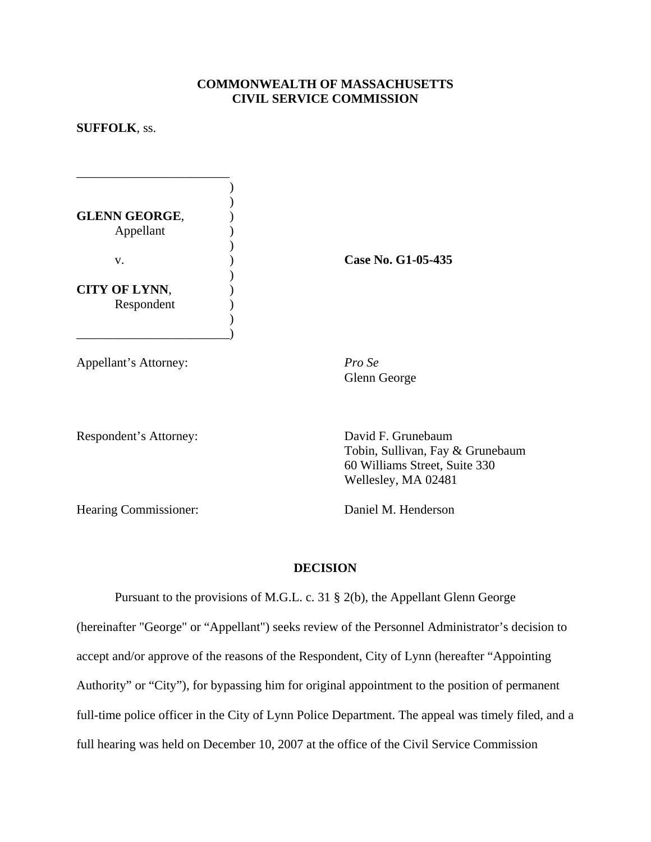## **COMMONWEALTH OF MASSACHUSETTS CIVIL SERVICE COMMISSION**

## **SUFFOLK**, ss.

| <b>GLENN GEORGE,</b><br>Appellant  |  |
|------------------------------------|--|
| V.                                 |  |
| <b>CITY OF LYNN,</b><br>Respondent |  |

 $\qquad \qquad \qquad \qquad$ 

\_\_\_\_\_\_\_\_\_\_\_\_\_\_\_\_\_\_\_\_\_\_\_\_  $\overline{\phantom{a}}$ 

Appellant's Attorney: *Pro Se* 

v. ) **Case No. G1-05-435** 

Glenn George

Respondent's Attorney: David F. Grunebaum

Tobin, Sullivan, Fay & Grunebaum 60 Williams Street, Suite 330 Wellesley, MA 02481

Hearing Commissioner: Daniel M. Henderson

## **DECISION**

Pursuant to the provisions of M.G.L. c. 31 § 2(b), the Appellant Glenn George (hereinafter "George" or "Appellant") seeks review of the Personnel Administrator's decision to accept and/or approve of the reasons of the Respondent, City of Lynn (hereafter "Appointing Authority" or "City"), for bypassing him for original appointment to the position of permanent full-time police officer in the City of Lynn Police Department. The appeal was timely filed, and a full hearing was held on December 10, 2007 at the office of the Civil Service Commission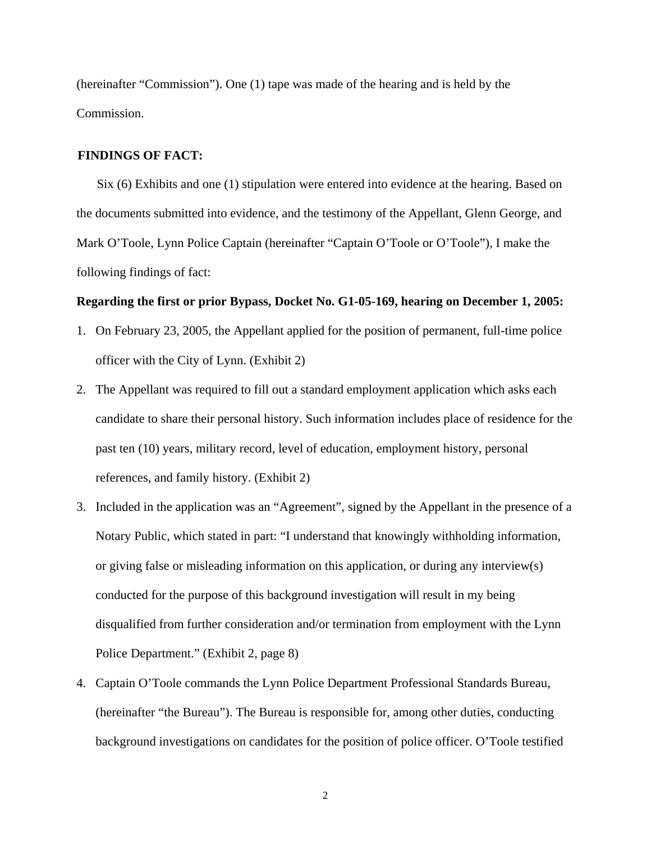(hereinafter "Commission"). One (1) tape was made of the hearing and is held by the Commission.

### **FINDINGS OF FACT:**

Six (6) Exhibits and one (1) stipulation were entered into evidence at the hearing. Based on the documents submitted into evidence, and the testimony of the Appellant, Glenn George, and Mark O'Toole, Lynn Police Captain (hereinafter "Captain O'Toole or O'Toole"), I make the following findings of fact:

#### **Regarding the first or prior Bypass, Docket No. G1-05-169, hearing on December 1, 2005:**

- 1. On February 23, 2005, the Appellant applied for the position of permanent, full-time police officer with the City of Lynn. (Exhibit 2)
- 2. The Appellant was required to fill out a standard employment application which asks each candidate to share their personal history. Such information includes place of residence for the past ten (10) years, military record, level of education, employment history, personal references, and family history. (Exhibit 2)
- 3. Included in the application was an "Agreement", signed by the Appellant in the presence of a Notary Public, which stated in part: "I understand that knowingly withholding information, or giving false or misleading information on this application, or during any interview(s) conducted for the purpose of this background investigation will result in my being disqualified from further consideration and/or termination from employment with the Lynn Police Department." (Exhibit 2, page 8)
- 4. Captain O'Toole commands the Lynn Police Department Professional Standards Bureau, (hereinafter "the Bureau"). The Bureau is responsible for, among other duties, conducting background investigations on candidates for the position of police officer. O'Toole testified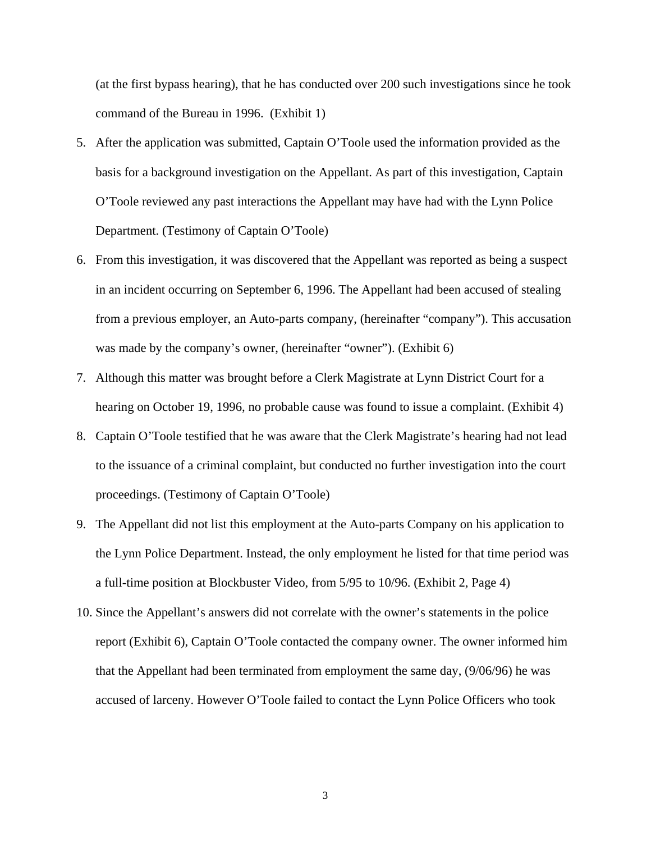(at the first bypass hearing), that he has conducted over 200 such investigations since he took command of the Bureau in 1996. (Exhibit 1)

- 5. After the application was submitted, Captain O'Toole used the information provided as the basis for a background investigation on the Appellant. As part of this investigation, Captain O'Toole reviewed any past interactions the Appellant may have had with the Lynn Police Department. (Testimony of Captain O'Toole)
- 6. From this investigation, it was discovered that the Appellant was reported as being a suspect in an incident occurring on September 6, 1996. The Appellant had been accused of stealing from a previous employer, an Auto-parts company, (hereinafter "company"). This accusation was made by the company's owner, (hereinafter "owner"). (Exhibit 6)
- 7. Although this matter was brought before a Clerk Magistrate at Lynn District Court for a hearing on October 19, 1996, no probable cause was found to issue a complaint. (Exhibit 4)
- 8. Captain O'Toole testified that he was aware that the Clerk Magistrate's hearing had not lead to the issuance of a criminal complaint, but conducted no further investigation into the court proceedings. (Testimony of Captain O'Toole)
- 9. The Appellant did not list this employment at the Auto-parts Company on his application to the Lynn Police Department. Instead, the only employment he listed for that time period was a full-time position at Blockbuster Video, from 5/95 to 10/96. (Exhibit 2, Page 4)
- 10. Since the Appellant's answers did not correlate with the owner's statements in the police report (Exhibit 6), Captain O'Toole contacted the company owner. The owner informed him that the Appellant had been terminated from employment the same day, (9/06/96) he was accused of larceny. However O'Toole failed to contact the Lynn Police Officers who took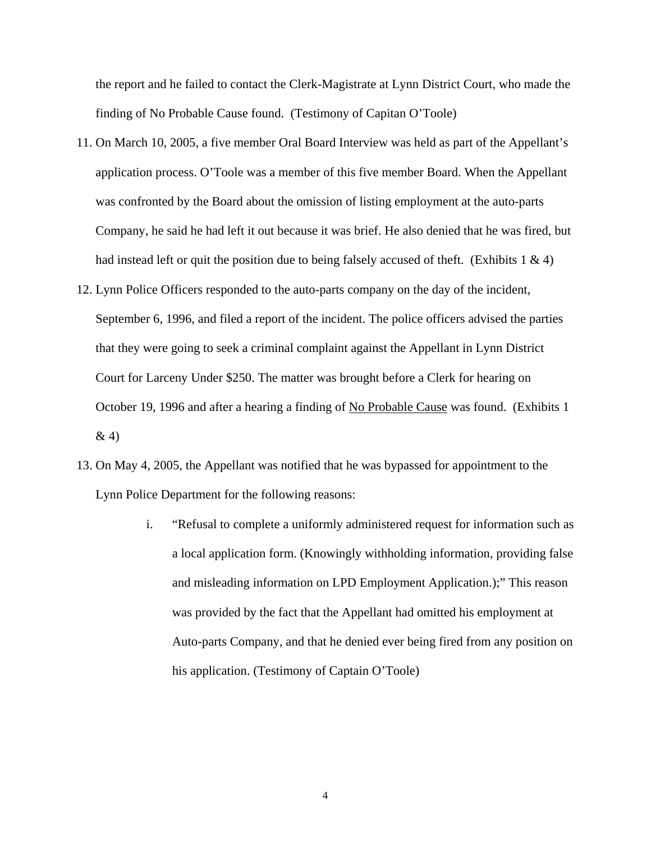the report and he failed to contact the Clerk-Magistrate at Lynn District Court, who made the finding of No Probable Cause found. (Testimony of Capitan O'Toole)

- 11. On March 10, 2005, a five member Oral Board Interview was held as part of the Appellant's application process. O'Toole was a member of this five member Board. When the Appellant was confronted by the Board about the omission of listing employment at the auto-parts Company, he said he had left it out because it was brief. He also denied that he was fired, but had instead left or quit the position due to being falsely accused of theft. (Exhibits 1  $\&$  4)
- 12. Lynn Police Officers responded to the auto-parts company on the day of the incident, September 6, 1996, and filed a report of the incident. The police officers advised the parties that they were going to seek a criminal complaint against the Appellant in Lynn District Court for Larceny Under \$250. The matter was brought before a Clerk for hearing on October 19, 1996 and after a hearing a finding of No Probable Cause was found. (Exhibits 1)  $& 4)$
- 13. On May 4, 2005, the Appellant was notified that he was bypassed for appointment to the Lynn Police Department for the following reasons:
	- i. "Refusal to complete a uniformly administered request for information such as a local application form. (Knowingly withholding information, providing false and misleading information on LPD Employment Application.);" This reason was provided by the fact that the Appellant had omitted his employment at Auto-parts Company, and that he denied ever being fired from any position on his application. (Testimony of Captain O'Toole)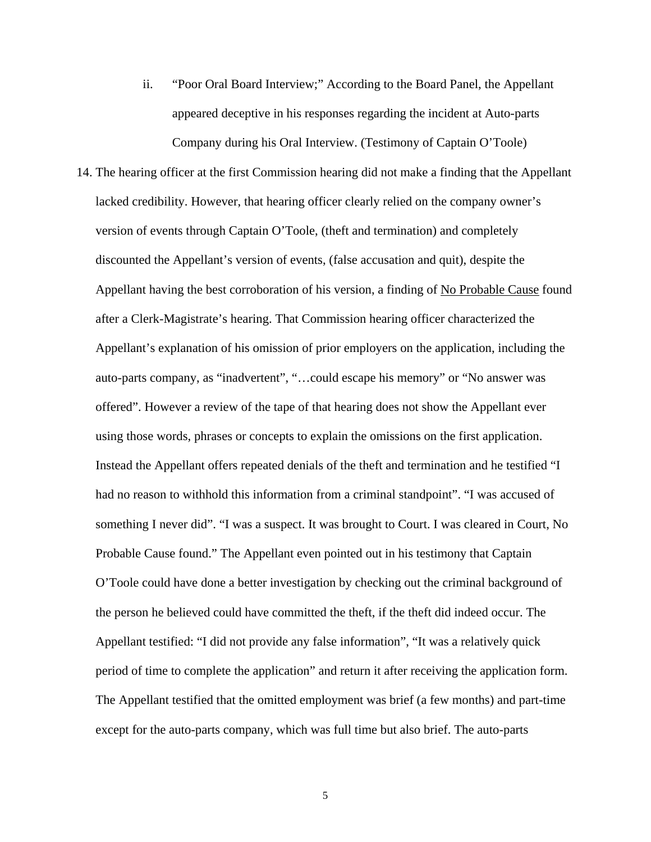- ii. "Poor Oral Board Interview;" According to the Board Panel, the Appellant appeared deceptive in his responses regarding the incident at Auto-parts Company during his Oral Interview. (Testimony of Captain O'Toole)
- 14. The hearing officer at the first Commission hearing did not make a finding that the Appellant lacked credibility. However, that hearing officer clearly relied on the company owner's version of events through Captain O'Toole, (theft and termination) and completely discounted the Appellant's version of events, (false accusation and quit), despite the Appellant having the best corroboration of his version, a finding of No Probable Cause found after a Clerk-Magistrate's hearing. That Commission hearing officer characterized the Appellant's explanation of his omission of prior employers on the application, including the auto-parts company, as "inadvertent", "…could escape his memory" or "No answer was offered". However a review of the tape of that hearing does not show the Appellant ever using those words, phrases or concepts to explain the omissions on the first application. Instead the Appellant offers repeated denials of the theft and termination and he testified "I had no reason to withhold this information from a criminal standpoint". "I was accused of something I never did". "I was a suspect. It was brought to Court. I was cleared in Court, No Probable Cause found." The Appellant even pointed out in his testimony that Captain O'Toole could have done a better investigation by checking out the criminal background of the person he believed could have committed the theft, if the theft did indeed occur. The Appellant testified: "I did not provide any false information", "It was a relatively quick period of time to complete the application" and return it after receiving the application form. The Appellant testified that the omitted employment was brief (a few months) and part-time except for the auto-parts company, which was full time but also brief. The auto-parts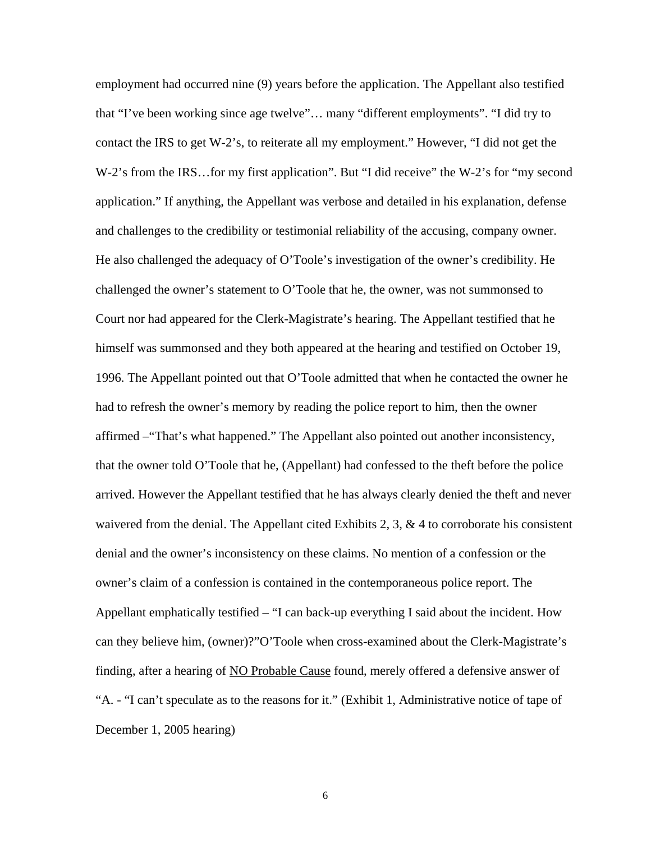employment had occurred nine (9) years before the application. The Appellant also testified that "I've been working since age twelve"… many "different employments". "I did try to contact the IRS to get W-2's, to reiterate all my employment." However, "I did not get the W-2's from the IRS…for my first application". But "I did receive" the W-2's for "my second application." If anything, the Appellant was verbose and detailed in his explanation, defense and challenges to the credibility or testimonial reliability of the accusing, company owner. He also challenged the adequacy of O'Toole's investigation of the owner's credibility. He challenged the owner's statement to O'Toole that he, the owner, was not summonsed to Court nor had appeared for the Clerk-Magistrate's hearing. The Appellant testified that he himself was summonsed and they both appeared at the hearing and testified on October 19, 1996. The Appellant pointed out that O'Toole admitted that when he contacted the owner he had to refresh the owner's memory by reading the police report to him, then the owner affirmed –"That's what happened." The Appellant also pointed out another inconsistency, that the owner told O'Toole that he, (Appellant) had confessed to the theft before the police arrived. However the Appellant testified that he has always clearly denied the theft and never waivered from the denial. The Appellant cited Exhibits 2, 3,  $\&$  4 to corroborate his consistent denial and the owner's inconsistency on these claims. No mention of a confession or the owner's claim of a confession is contained in the contemporaneous police report. The Appellant emphatically testified – "I can back-up everything I said about the incident. How can they believe him, (owner)?"O'Toole when cross-examined about the Clerk-Magistrate's finding, after a hearing of NO Probable Cause found, merely offered a defensive answer of "A. - "I can't speculate as to the reasons for it." (Exhibit 1, Administrative notice of tape of December 1, 2005 hearing)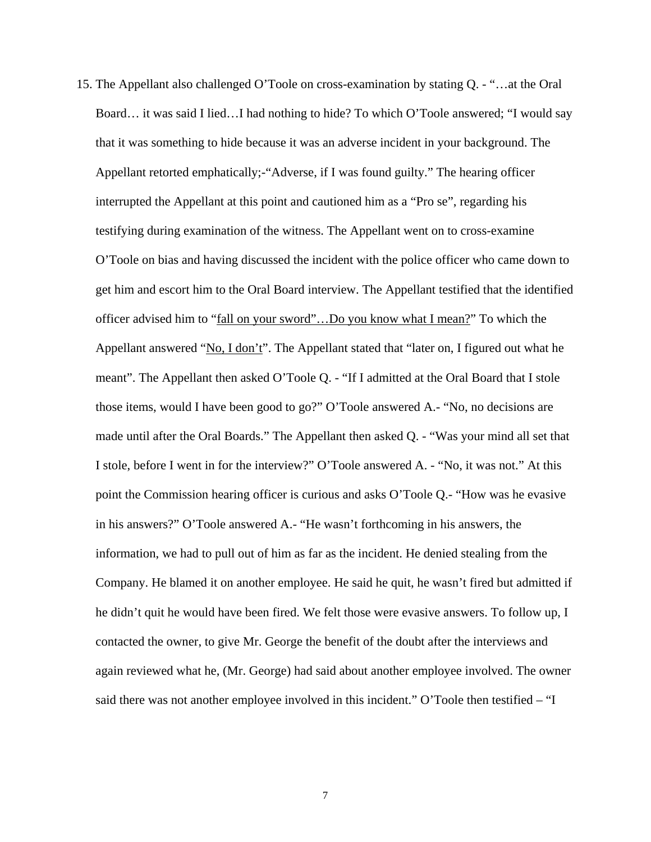15. The Appellant also challenged O'Toole on cross-examination by stating Q. - "…at the Oral Board… it was said I lied…I had nothing to hide? To which O'Toole answered; "I would say that it was something to hide because it was an adverse incident in your background. The Appellant retorted emphatically;-"Adverse, if I was found guilty." The hearing officer interrupted the Appellant at this point and cautioned him as a "Pro se", regarding his testifying during examination of the witness. The Appellant went on to cross-examine O'Toole on bias and having discussed the incident with the police officer who came down to get him and escort him to the Oral Board interview. The Appellant testified that the identified officer advised him to "fall on your sword"…Do you know what I mean?" To which the Appellant answered "No, I don't". The Appellant stated that "later on, I figured out what he meant". The Appellant then asked O'Toole Q. - "If I admitted at the Oral Board that I stole those items, would I have been good to go?" O'Toole answered A.- "No, no decisions are made until after the Oral Boards." The Appellant then asked Q. - "Was your mind all set that I stole, before I went in for the interview?" O'Toole answered A. - "No, it was not." At this point the Commission hearing officer is curious and asks O'Toole Q.- "How was he evasive in his answers?" O'Toole answered A.- "He wasn't forthcoming in his answers, the information, we had to pull out of him as far as the incident. He denied stealing from the Company. He blamed it on another employee. He said he quit, he wasn't fired but admitted if he didn't quit he would have been fired. We felt those were evasive answers. To follow up, I contacted the owner, to give Mr. George the benefit of the doubt after the interviews and again reviewed what he, (Mr. George) had said about another employee involved. The owner said there was not another employee involved in this incident." O'Toole then testified – "I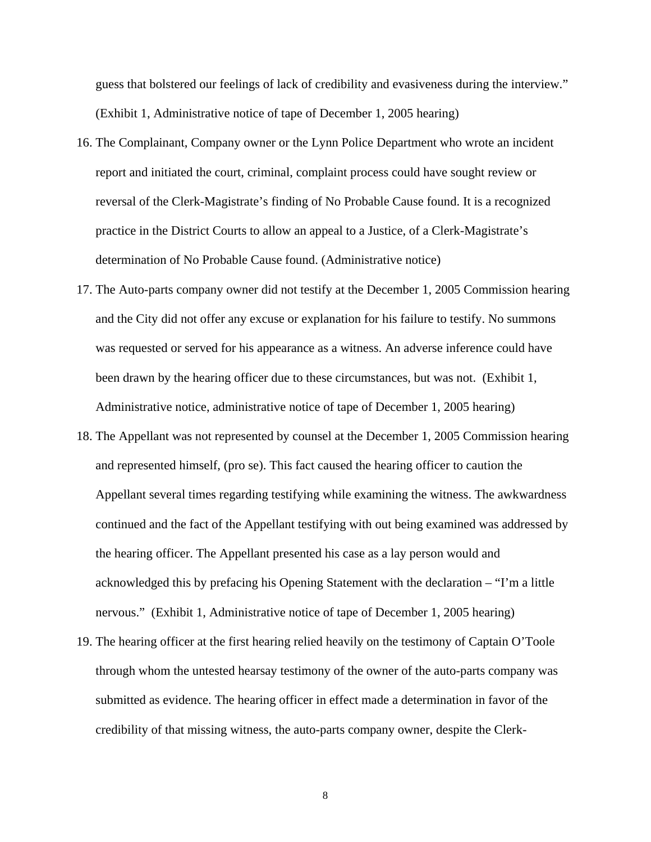guess that bolstered our feelings of lack of credibility and evasiveness during the interview." (Exhibit 1, Administrative notice of tape of December 1, 2005 hearing)

- 16. The Complainant, Company owner or the Lynn Police Department who wrote an incident report and initiated the court, criminal, complaint process could have sought review or reversal of the Clerk-Magistrate's finding of No Probable Cause found. It is a recognized practice in the District Courts to allow an appeal to a Justice, of a Clerk-Magistrate's determination of No Probable Cause found. (Administrative notice)
- 17. The Auto-parts company owner did not testify at the December 1, 2005 Commission hearing and the City did not offer any excuse or explanation for his failure to testify. No summons was requested or served for his appearance as a witness. An adverse inference could have been drawn by the hearing officer due to these circumstances, but was not. (Exhibit 1, Administrative notice, administrative notice of tape of December 1, 2005 hearing)
- 18. The Appellant was not represented by counsel at the December 1, 2005 Commission hearing and represented himself, (pro se). This fact caused the hearing officer to caution the Appellant several times regarding testifying while examining the witness. The awkwardness continued and the fact of the Appellant testifying with out being examined was addressed by the hearing officer. The Appellant presented his case as a lay person would and acknowledged this by prefacing his Opening Statement with the declaration – "I'm a little nervous." (Exhibit 1, Administrative notice of tape of December 1, 2005 hearing)
- 19. The hearing officer at the first hearing relied heavily on the testimony of Captain O'Toole through whom the untested hearsay testimony of the owner of the auto-parts company was submitted as evidence. The hearing officer in effect made a determination in favor of the credibility of that missing witness, the auto-parts company owner, despite the Clerk-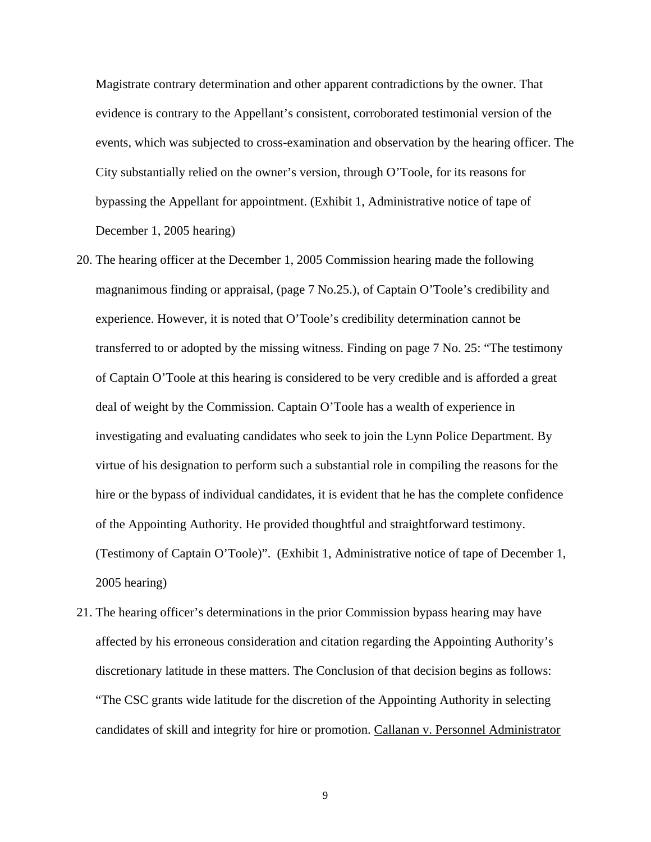Magistrate contrary determination and other apparent contradictions by the owner. That evidence is contrary to the Appellant's consistent, corroborated testimonial version of the events, which was subjected to cross-examination and observation by the hearing officer. The City substantially relied on the owner's version, through O'Toole, for its reasons for bypassing the Appellant for appointment. (Exhibit 1, Administrative notice of tape of December 1, 2005 hearing)

- 20. The hearing officer at the December 1, 2005 Commission hearing made the following magnanimous finding or appraisal, (page 7 No.25.), of Captain O'Toole's credibility and experience. However, it is noted that O'Toole's credibility determination cannot be transferred to or adopted by the missing witness. Finding on page 7 No. 25: "The testimony of Captain O'Toole at this hearing is considered to be very credible and is afforded a great deal of weight by the Commission. Captain O'Toole has a wealth of experience in investigating and evaluating candidates who seek to join the Lynn Police Department. By virtue of his designation to perform such a substantial role in compiling the reasons for the hire or the bypass of individual candidates, it is evident that he has the complete confidence of the Appointing Authority. He provided thoughtful and straightforward testimony. (Testimony of Captain O'Toole)". (Exhibit 1, Administrative notice of tape of December 1, 2005 hearing)
- 21. The hearing officer's determinations in the prior Commission bypass hearing may have affected by his erroneous consideration and citation regarding the Appointing Authority's discretionary latitude in these matters. The Conclusion of that decision begins as follows: "The CSC grants wide latitude for the discretion of the Appointing Authority in selecting candidates of skill and integrity for hire or promotion. Callanan v. Personnel Administrator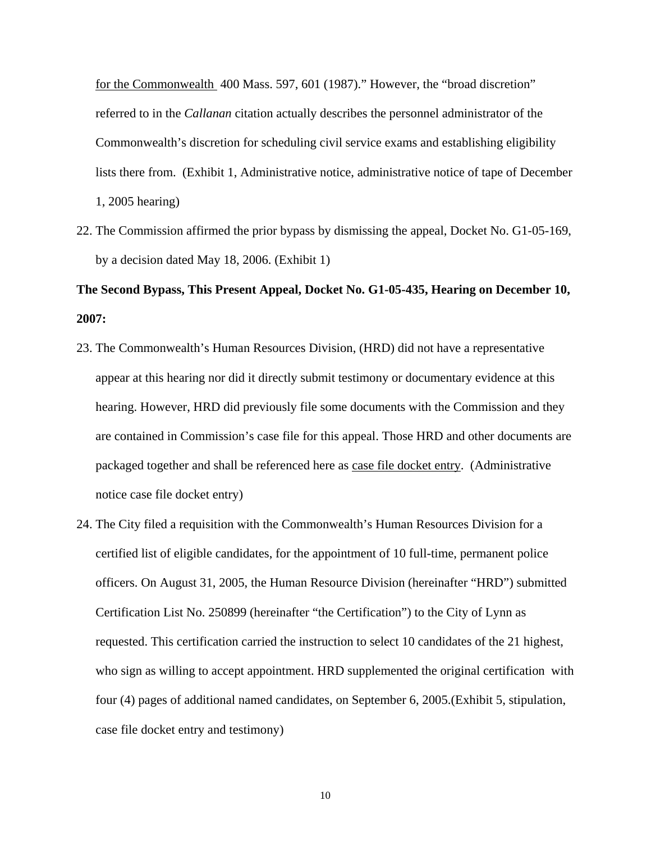for the Commonwealth 400 Mass. 597, 601 (1987)." However, the "broad discretion" referred to in the *Callanan* citation actually describes the personnel administrator of the Commonwealth's discretion for scheduling civil service exams and establishing eligibility lists there from. (Exhibit 1, Administrative notice, administrative notice of tape of December 1, 2005 hearing)

22. The Commission affirmed the prior bypass by dismissing the appeal, Docket No. G1-05-169, by a decision dated May 18, 2006. (Exhibit 1)

# **The Second Bypass, This Present Appeal, Docket No. G1-05-435, Hearing on December 10, 2007:**

- 23. The Commonwealth's Human Resources Division, (HRD) did not have a representative appear at this hearing nor did it directly submit testimony or documentary evidence at this hearing. However, HRD did previously file some documents with the Commission and they are contained in Commission's case file for this appeal. Those HRD and other documents are packaged together and shall be referenced here as case file docket entry. (Administrative notice case file docket entry)
- 24. The City filed a requisition with the Commonwealth's Human Resources Division for a certified list of eligible candidates, for the appointment of 10 full-time, permanent police officers. On August 31, 2005, the Human Resource Division (hereinafter "HRD") submitted Certification List No. 250899 (hereinafter "the Certification") to the City of Lynn as requested. This certification carried the instruction to select 10 candidates of the 21 highest, who sign as willing to accept appointment. HRD supplemented the original certification with four (4) pages of additional named candidates, on September 6, 2005.(Exhibit 5, stipulation, case file docket entry and testimony)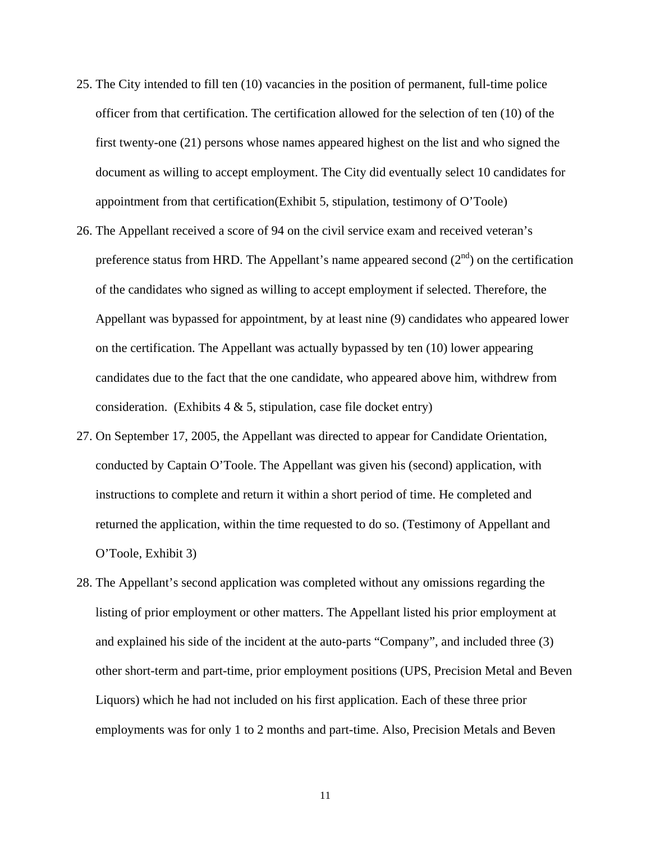- 25. The City intended to fill ten (10) vacancies in the position of permanent, full-time police officer from that certification. The certification allowed for the selection of ten (10) of the first twenty-one (21) persons whose names appeared highest on the list and who signed the document as willing to accept employment. The City did eventually select 10 candidates for appointment from that certification(Exhibit 5, stipulation, testimony of O'Toole)
- 26. The Appellant received a score of 94 on the civil service exam and received veteran's preference status from HRD. The Appellant's name appeared second  $(2<sup>nd</sup>)$  on the certification of the candidates who signed as willing to accept employment if selected. Therefore, the Appellant was bypassed for appointment, by at least nine (9) candidates who appeared lower on the certification. The Appellant was actually bypassed by ten (10) lower appearing candidates due to the fact that the one candidate, who appeared above him, withdrew from consideration. (Exhibits  $4 \& 5$ , stipulation, case file docket entry)
- 27. On September 17, 2005, the Appellant was directed to appear for Candidate Orientation, conducted by Captain O'Toole. The Appellant was given his (second) application, with instructions to complete and return it within a short period of time. He completed and returned the application, within the time requested to do so. (Testimony of Appellant and O'Toole, Exhibit 3)
- 28. The Appellant's second application was completed without any omissions regarding the listing of prior employment or other matters. The Appellant listed his prior employment at and explained his side of the incident at the auto-parts "Company", and included three (3) other short-term and part-time, prior employment positions (UPS, Precision Metal and Beven Liquors) which he had not included on his first application. Each of these three prior employments was for only 1 to 2 months and part-time. Also, Precision Metals and Beven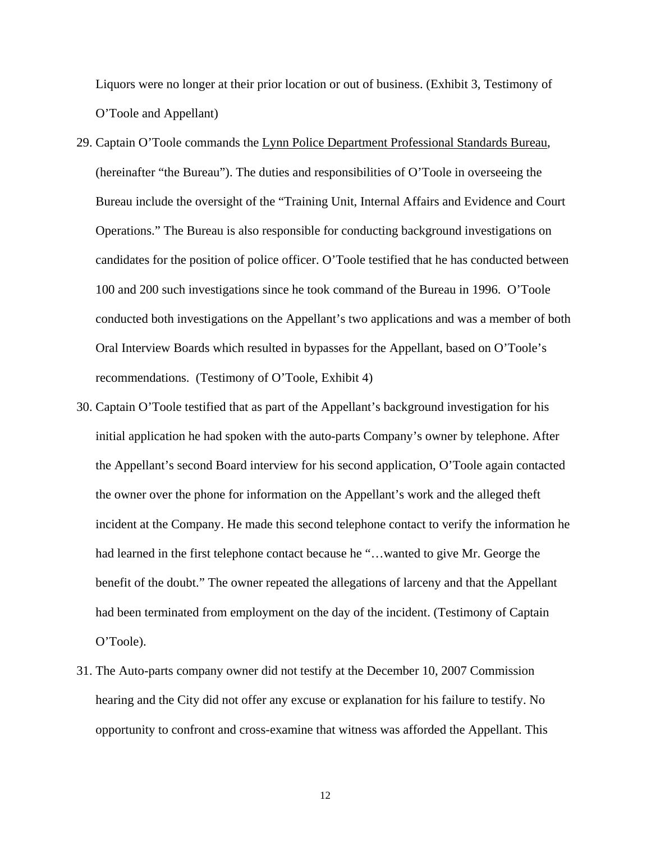Liquors were no longer at their prior location or out of business. (Exhibit 3, Testimony of O'Toole and Appellant)

- 29. Captain O'Toole commands the Lynn Police Department Professional Standards Bureau, (hereinafter "the Bureau"). The duties and responsibilities of O'Toole in overseeing the Bureau include the oversight of the "Training Unit, Internal Affairs and Evidence and Court Operations." The Bureau is also responsible for conducting background investigations on candidates for the position of police officer. O'Toole testified that he has conducted between 100 and 200 such investigations since he took command of the Bureau in 1996. O'Toole conducted both investigations on the Appellant's two applications and was a member of both Oral Interview Boards which resulted in bypasses for the Appellant, based on O'Toole's recommendations. (Testimony of O'Toole, Exhibit 4)
- 30. Captain O'Toole testified that as part of the Appellant's background investigation for his initial application he had spoken with the auto-parts Company's owner by telephone. After the Appellant's second Board interview for his second application, O'Toole again contacted the owner over the phone for information on the Appellant's work and the alleged theft incident at the Company. He made this second telephone contact to verify the information he had learned in the first telephone contact because he "…wanted to give Mr. George the benefit of the doubt." The owner repeated the allegations of larceny and that the Appellant had been terminated from employment on the day of the incident. (Testimony of Captain O'Toole).
- 31. The Auto-parts company owner did not testify at the December 10, 2007 Commission hearing and the City did not offer any excuse or explanation for his failure to testify. No opportunity to confront and cross-examine that witness was afforded the Appellant. This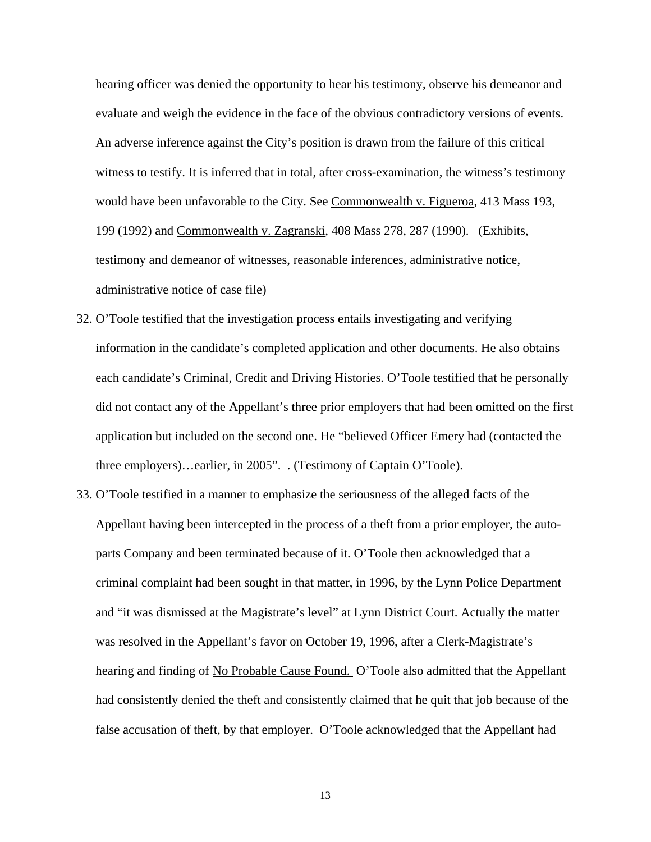hearing officer was denied the opportunity to hear his testimony, observe his demeanor and evaluate and weigh the evidence in the face of the obvious contradictory versions of events. An adverse inference against the City's position is drawn from the failure of this critical witness to testify. It is inferred that in total, after cross-examination, the witness's testimony would have been unfavorable to the City. See Commonwealth v. Figueroa, 413 Mass 193, 199 (1992) and Commonwealth v. Zagranski, 408 Mass 278, 287 (1990). (Exhibits, testimony and demeanor of witnesses, reasonable inferences, administrative notice, administrative notice of case file)

- 32. O'Toole testified that the investigation process entails investigating and verifying information in the candidate's completed application and other documents. He also obtains each candidate's Criminal, Credit and Driving Histories. O'Toole testified that he personally did not contact any of the Appellant's three prior employers that had been omitted on the first application but included on the second one. He "believed Officer Emery had (contacted the three employers)…earlier, in 2005". . (Testimony of Captain O'Toole).
- 33. O'Toole testified in a manner to emphasize the seriousness of the alleged facts of the Appellant having been intercepted in the process of a theft from a prior employer, the autoparts Company and been terminated because of it. O'Toole then acknowledged that a criminal complaint had been sought in that matter, in 1996, by the Lynn Police Department and "it was dismissed at the Magistrate's level" at Lynn District Court. Actually the matter was resolved in the Appellant's favor on October 19, 1996, after a Clerk-Magistrate's hearing and finding of No Probable Cause Found. O'Toole also admitted that the Appellant had consistently denied the theft and consistently claimed that he quit that job because of the false accusation of theft, by that employer. O'Toole acknowledged that the Appellant had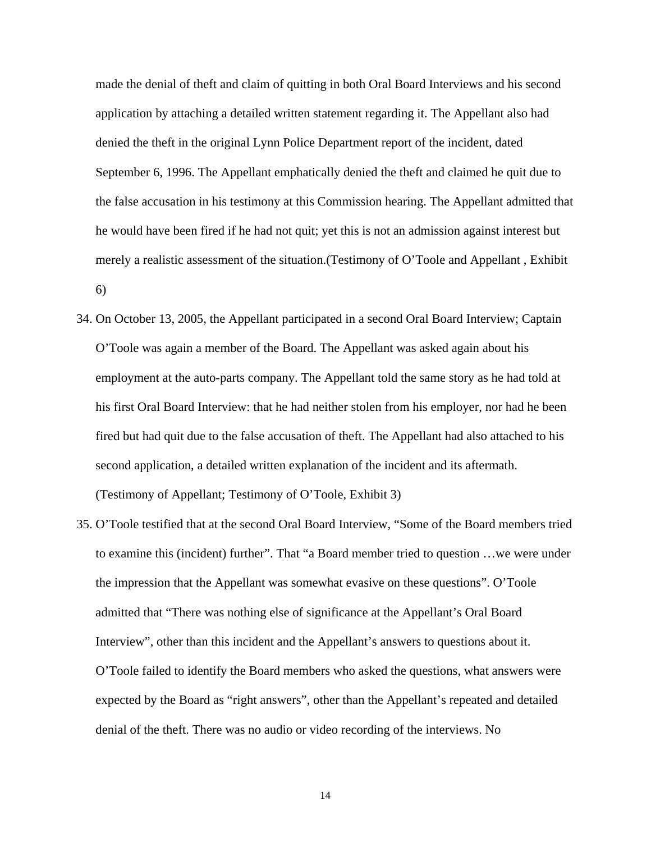made the denial of theft and claim of quitting in both Oral Board Interviews and his second application by attaching a detailed written statement regarding it. The Appellant also had denied the theft in the original Lynn Police Department report of the incident, dated September 6, 1996. The Appellant emphatically denied the theft and claimed he quit due to the false accusation in his testimony at this Commission hearing. The Appellant admitted that he would have been fired if he had not quit; yet this is not an admission against interest but merely a realistic assessment of the situation.(Testimony of O'Toole and Appellant , Exhibit 6)

- 34. On October 13, 2005, the Appellant participated in a second Oral Board Interview; Captain O'Toole was again a member of the Board. The Appellant was asked again about his employment at the auto-parts company. The Appellant told the same story as he had told at his first Oral Board Interview: that he had neither stolen from his employer, nor had he been fired but had quit due to the false accusation of theft. The Appellant had also attached to his second application, a detailed written explanation of the incident and its aftermath. (Testimony of Appellant; Testimony of O'Toole, Exhibit 3)
- 35. O'Toole testified that at the second Oral Board Interview, "Some of the Board members tried to examine this (incident) further". That "a Board member tried to question …we were under the impression that the Appellant was somewhat evasive on these questions". O'Toole admitted that "There was nothing else of significance at the Appellant's Oral Board Interview", other than this incident and the Appellant's answers to questions about it. O'Toole failed to identify the Board members who asked the questions, what answers were expected by the Board as "right answers", other than the Appellant's repeated and detailed denial of the theft. There was no audio or video recording of the interviews. No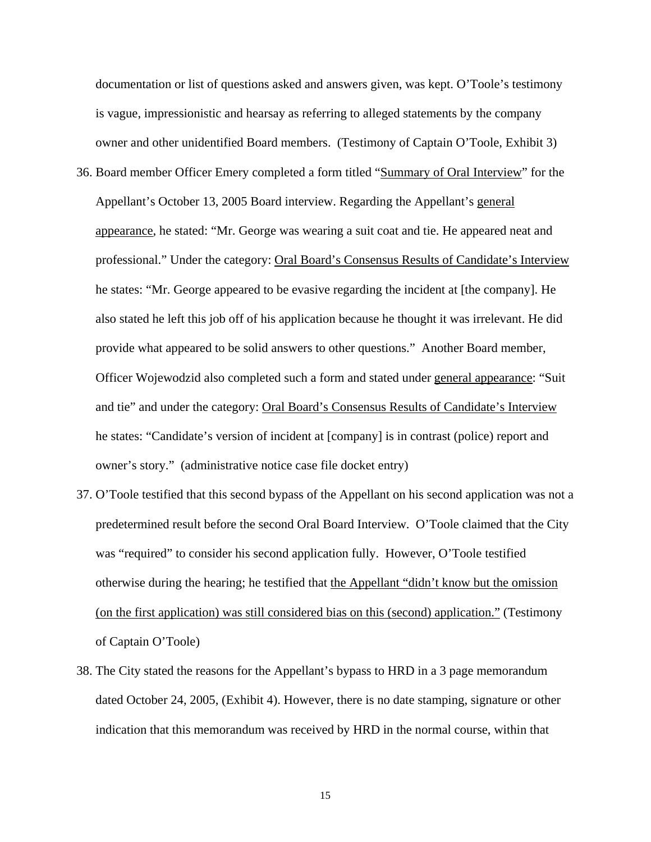documentation or list of questions asked and answers given, was kept. O'Toole's testimony is vague, impressionistic and hearsay as referring to alleged statements by the company owner and other unidentified Board members. (Testimony of Captain O'Toole, Exhibit 3)

- 36. Board member Officer Emery completed a form titled "Summary of Oral Interview" for the Appellant's October 13, 2005 Board interview. Regarding the Appellant's general appearance, he stated: "Mr. George was wearing a suit coat and tie. He appeared neat and professional." Under the category: Oral Board's Consensus Results of Candidate's Interview he states: "Mr. George appeared to be evasive regarding the incident at [the company]. He also stated he left this job off of his application because he thought it was irrelevant. He did provide what appeared to be solid answers to other questions." Another Board member, Officer Wojewodzid also completed such a form and stated under general appearance: "Suit and tie" and under the category: Oral Board's Consensus Results of Candidate's Interview he states: "Candidate's version of incident at [company] is in contrast (police) report and owner's story." (administrative notice case file docket entry)
- 37. O'Toole testified that this second bypass of the Appellant on his second application was not a predetermined result before the second Oral Board Interview. O'Toole claimed that the City was "required" to consider his second application fully. However, O'Toole testified otherwise during the hearing; he testified that the Appellant "didn't know but the omission (on the first application) was still considered bias on this (second) application." (Testimony of Captain O'Toole)
- 38. The City stated the reasons for the Appellant's bypass to HRD in a 3 page memorandum dated October 24, 2005, (Exhibit 4). However, there is no date stamping, signature or other indication that this memorandum was received by HRD in the normal course, within that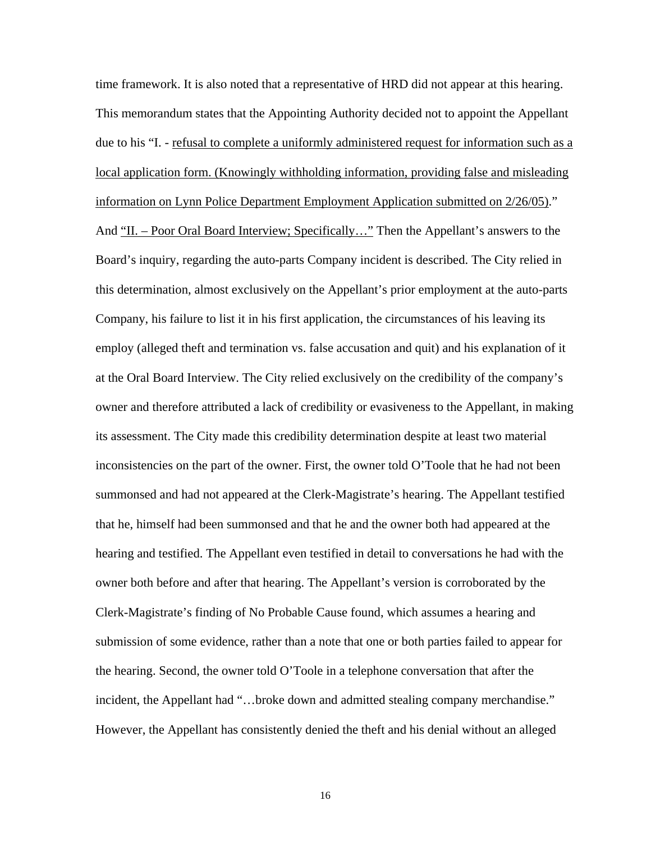time framework. It is also noted that a representative of HRD did not appear at this hearing. This memorandum states that the Appointing Authority decided not to appoint the Appellant due to his "I. - refusal to complete a uniformly administered request for information such as a local application form. (Knowingly withholding information, providing false and misleading information on Lynn Police Department Employment Application submitted on 2/26/05)." And "II. – Poor Oral Board Interview; Specifically..." Then the Appellant's answers to the Board's inquiry, regarding the auto-parts Company incident is described. The City relied in this determination, almost exclusively on the Appellant's prior employment at the auto-parts Company, his failure to list it in his first application, the circumstances of his leaving its employ (alleged theft and termination vs. false accusation and quit) and his explanation of it at the Oral Board Interview. The City relied exclusively on the credibility of the company's owner and therefore attributed a lack of credibility or evasiveness to the Appellant, in making its assessment. The City made this credibility determination despite at least two material inconsistencies on the part of the owner. First, the owner told O'Toole that he had not been summonsed and had not appeared at the Clerk-Magistrate's hearing. The Appellant testified that he, himself had been summonsed and that he and the owner both had appeared at the hearing and testified. The Appellant even testified in detail to conversations he had with the owner both before and after that hearing. The Appellant's version is corroborated by the Clerk-Magistrate's finding of No Probable Cause found, which assumes a hearing and submission of some evidence, rather than a note that one or both parties failed to appear for the hearing. Second, the owner told O'Toole in a telephone conversation that after the incident, the Appellant had "…broke down and admitted stealing company merchandise." However, the Appellant has consistently denied the theft and his denial without an alleged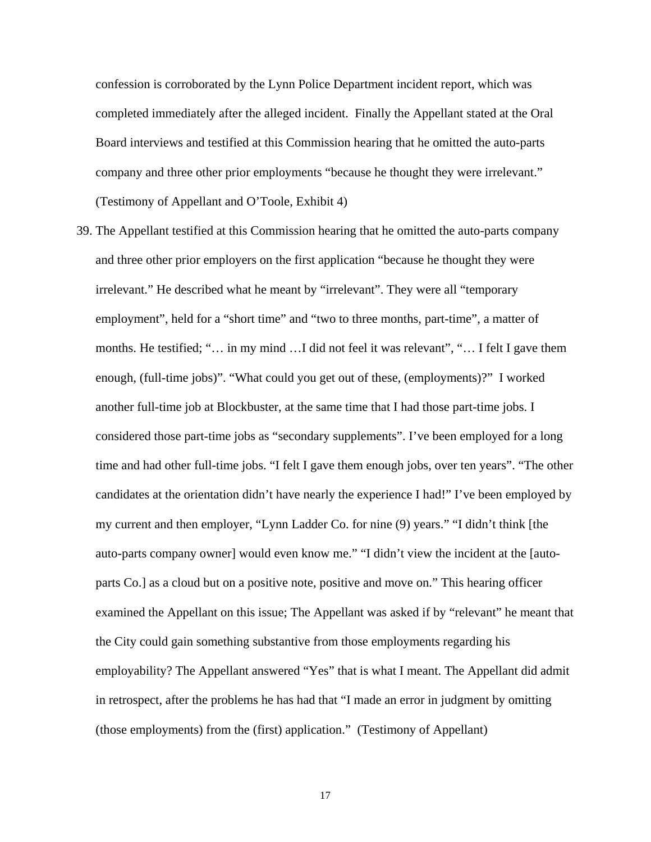confession is corroborated by the Lynn Police Department incident report, which was completed immediately after the alleged incident. Finally the Appellant stated at the Oral Board interviews and testified at this Commission hearing that he omitted the auto-parts company and three other prior employments "because he thought they were irrelevant." (Testimony of Appellant and O'Toole, Exhibit 4)

39. The Appellant testified at this Commission hearing that he omitted the auto-parts company and three other prior employers on the first application "because he thought they were irrelevant." He described what he meant by "irrelevant". They were all "temporary employment", held for a "short time" and "two to three months, part-time", a matter of months. He testified; "… in my mind …I did not feel it was relevant", "… I felt I gave them enough, (full-time jobs)". "What could you get out of these, (employments)?" I worked another full-time job at Blockbuster, at the same time that I had those part-time jobs. I considered those part-time jobs as "secondary supplements". I've been employed for a long time and had other full-time jobs. "I felt I gave them enough jobs, over ten years". "The other candidates at the orientation didn't have nearly the experience I had!" I've been employed by my current and then employer, "Lynn Ladder Co. for nine (9) years." "I didn't think [the auto-parts company owner] would even know me." "I didn't view the incident at the [autoparts Co.] as a cloud but on a positive note, positive and move on." This hearing officer examined the Appellant on this issue; The Appellant was asked if by "relevant" he meant that the City could gain something substantive from those employments regarding his employability? The Appellant answered "Yes" that is what I meant. The Appellant did admit in retrospect, after the problems he has had that "I made an error in judgment by omitting (those employments) from the (first) application." (Testimony of Appellant)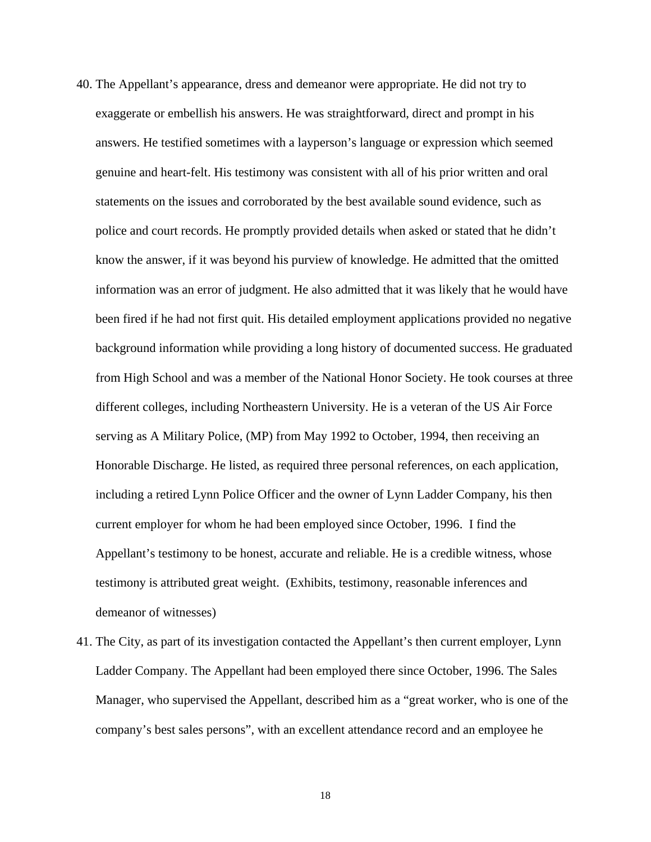- 40. The Appellant's appearance, dress and demeanor were appropriate. He did not try to exaggerate or embellish his answers. He was straightforward, direct and prompt in his answers. He testified sometimes with a layperson's language or expression which seemed genuine and heart-felt. His testimony was consistent with all of his prior written and oral statements on the issues and corroborated by the best available sound evidence, such as police and court records. He promptly provided details when asked or stated that he didn't know the answer, if it was beyond his purview of knowledge. He admitted that the omitted information was an error of judgment. He also admitted that it was likely that he would have been fired if he had not first quit. His detailed employment applications provided no negative background information while providing a long history of documented success. He graduated from High School and was a member of the National Honor Society. He took courses at three different colleges, including Northeastern University. He is a veteran of the US Air Force serving as A Military Police, (MP) from May 1992 to October, 1994, then receiving an Honorable Discharge. He listed, as required three personal references, on each application, including a retired Lynn Police Officer and the owner of Lynn Ladder Company, his then current employer for whom he had been employed since October, 1996. I find the Appellant's testimony to be honest, accurate and reliable. He is a credible witness, whose testimony is attributed great weight. (Exhibits, testimony, reasonable inferences and demeanor of witnesses)
- 41. The City, as part of its investigation contacted the Appellant's then current employer, Lynn Ladder Company. The Appellant had been employed there since October, 1996. The Sales Manager, who supervised the Appellant, described him as a "great worker, who is one of the company's best sales persons", with an excellent attendance record and an employee he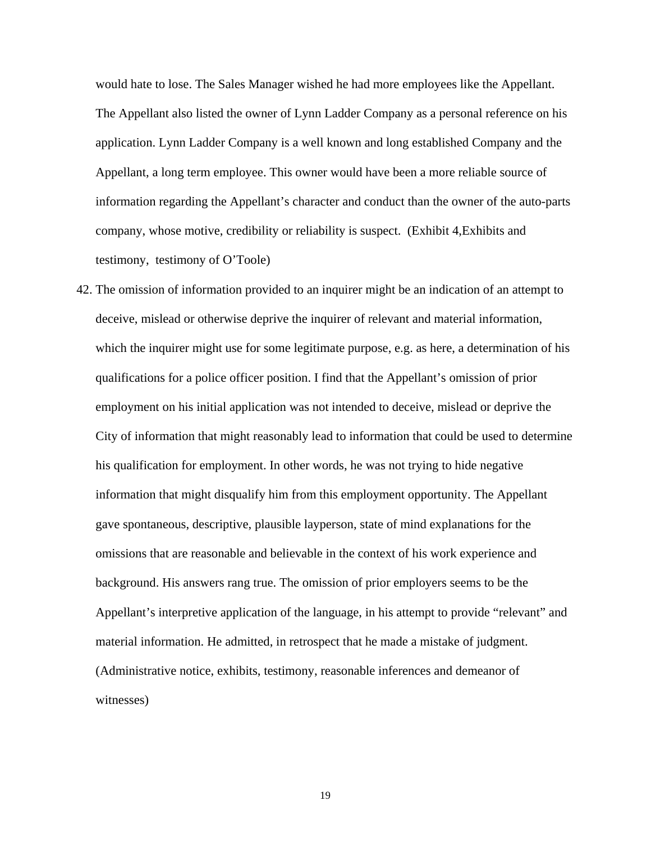would hate to lose. The Sales Manager wished he had more employees like the Appellant. The Appellant also listed the owner of Lynn Ladder Company as a personal reference on his application. Lynn Ladder Company is a well known and long established Company and the Appellant, a long term employee. This owner would have been a more reliable source of information regarding the Appellant's character and conduct than the owner of the auto-parts company, whose motive, credibility or reliability is suspect. (Exhibit 4,Exhibits and testimony, testimony of O'Toole)

42. The omission of information provided to an inquirer might be an indication of an attempt to deceive, mislead or otherwise deprive the inquirer of relevant and material information, which the inquirer might use for some legitimate purpose, e.g. as here, a determination of his qualifications for a police officer position. I find that the Appellant's omission of prior employment on his initial application was not intended to deceive, mislead or deprive the City of information that might reasonably lead to information that could be used to determine his qualification for employment. In other words, he was not trying to hide negative information that might disqualify him from this employment opportunity. The Appellant gave spontaneous, descriptive, plausible layperson, state of mind explanations for the omissions that are reasonable and believable in the context of his work experience and background. His answers rang true. The omission of prior employers seems to be the Appellant's interpretive application of the language, in his attempt to provide "relevant" and material information. He admitted, in retrospect that he made a mistake of judgment. (Administrative notice, exhibits, testimony, reasonable inferences and demeanor of witnesses)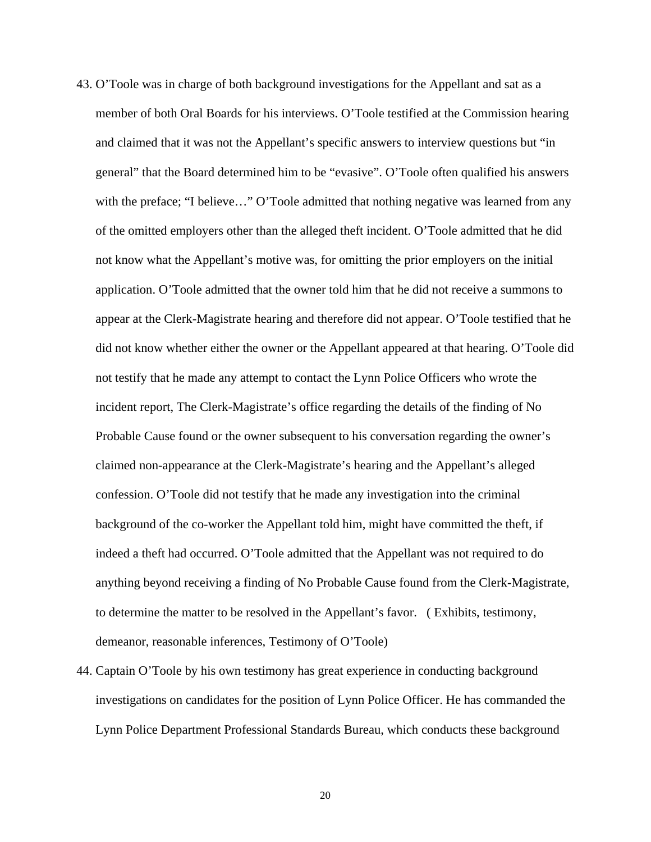- 43. O'Toole was in charge of both background investigations for the Appellant and sat as a member of both Oral Boards for his interviews. O'Toole testified at the Commission hearing and claimed that it was not the Appellant's specific answers to interview questions but "in general" that the Board determined him to be "evasive". O'Toole often qualified his answers with the preface; "I believe..." O'Toole admitted that nothing negative was learned from any of the omitted employers other than the alleged theft incident. O'Toole admitted that he did not know what the Appellant's motive was, for omitting the prior employers on the initial application. O'Toole admitted that the owner told him that he did not receive a summons to appear at the Clerk-Magistrate hearing and therefore did not appear. O'Toole testified that he did not know whether either the owner or the Appellant appeared at that hearing. O'Toole did not testify that he made any attempt to contact the Lynn Police Officers who wrote the incident report, The Clerk-Magistrate's office regarding the details of the finding of No Probable Cause found or the owner subsequent to his conversation regarding the owner's claimed non-appearance at the Clerk-Magistrate's hearing and the Appellant's alleged confession. O'Toole did not testify that he made any investigation into the criminal background of the co-worker the Appellant told him, might have committed the theft, if indeed a theft had occurred. O'Toole admitted that the Appellant was not required to do anything beyond receiving a finding of No Probable Cause found from the Clerk-Magistrate, to determine the matter to be resolved in the Appellant's favor. ( Exhibits, testimony, demeanor, reasonable inferences, Testimony of O'Toole)
- 44. Captain O'Toole by his own testimony has great experience in conducting background investigations on candidates for the position of Lynn Police Officer. He has commanded the Lynn Police Department Professional Standards Bureau, which conducts these background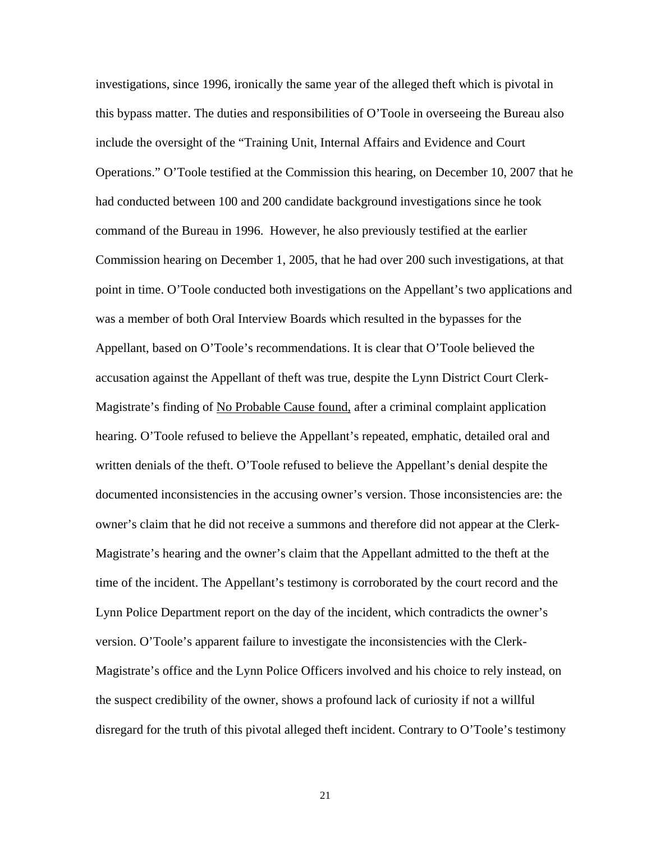investigations, since 1996, ironically the same year of the alleged theft which is pivotal in this bypass matter. The duties and responsibilities of O'Toole in overseeing the Bureau also include the oversight of the "Training Unit, Internal Affairs and Evidence and Court Operations." O'Toole testified at the Commission this hearing, on December 10, 2007 that he had conducted between 100 and 200 candidate background investigations since he took command of the Bureau in 1996. However, he also previously testified at the earlier Commission hearing on December 1, 2005, that he had over 200 such investigations, at that point in time. O'Toole conducted both investigations on the Appellant's two applications and was a member of both Oral Interview Boards which resulted in the bypasses for the Appellant, based on O'Toole's recommendations. It is clear that O'Toole believed the accusation against the Appellant of theft was true, despite the Lynn District Court Clerk-Magistrate's finding of No Probable Cause found, after a criminal complaint application hearing. O'Toole refused to believe the Appellant's repeated, emphatic, detailed oral and written denials of the theft. O'Toole refused to believe the Appellant's denial despite the documented inconsistencies in the accusing owner's version. Those inconsistencies are: the owner's claim that he did not receive a summons and therefore did not appear at the Clerk-Magistrate's hearing and the owner's claim that the Appellant admitted to the theft at the time of the incident. The Appellant's testimony is corroborated by the court record and the Lynn Police Department report on the day of the incident, which contradicts the owner's version. O'Toole's apparent failure to investigate the inconsistencies with the Clerk-Magistrate's office and the Lynn Police Officers involved and his choice to rely instead, on the suspect credibility of the owner, shows a profound lack of curiosity if not a willful disregard for the truth of this pivotal alleged theft incident. Contrary to O'Toole's testimony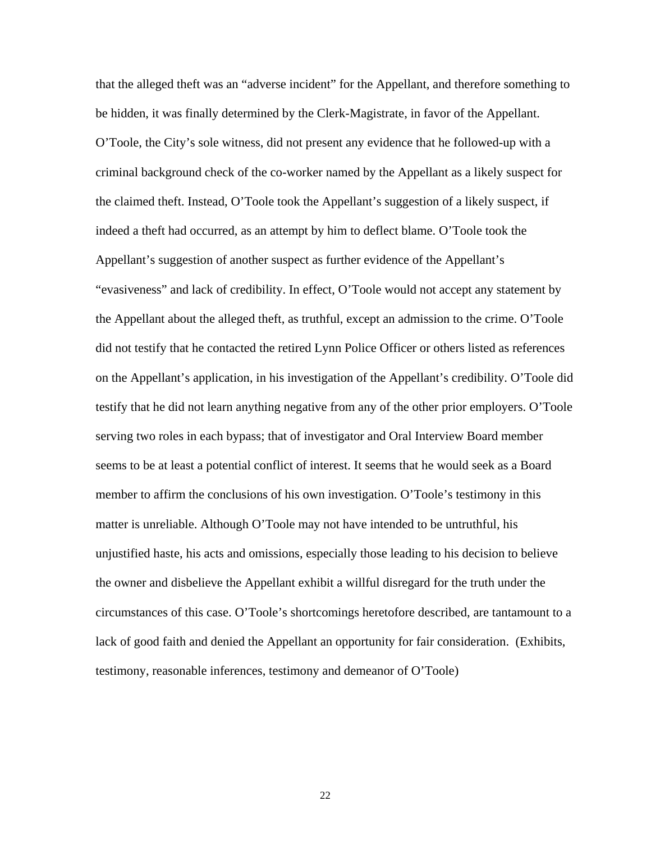that the alleged theft was an "adverse incident" for the Appellant, and therefore something to be hidden, it was finally determined by the Clerk-Magistrate, in favor of the Appellant. O'Toole, the City's sole witness, did not present any evidence that he followed-up with a criminal background check of the co-worker named by the Appellant as a likely suspect for the claimed theft. Instead, O'Toole took the Appellant's suggestion of a likely suspect, if indeed a theft had occurred, as an attempt by him to deflect blame. O'Toole took the Appellant's suggestion of another suspect as further evidence of the Appellant's "evasiveness" and lack of credibility. In effect, O'Toole would not accept any statement by the Appellant about the alleged theft, as truthful, except an admission to the crime. O'Toole did not testify that he contacted the retired Lynn Police Officer or others listed as references on the Appellant's application, in his investigation of the Appellant's credibility. O'Toole did testify that he did not learn anything negative from any of the other prior employers. O'Toole serving two roles in each bypass; that of investigator and Oral Interview Board member seems to be at least a potential conflict of interest. It seems that he would seek as a Board member to affirm the conclusions of his own investigation. O'Toole's testimony in this matter is unreliable. Although O'Toole may not have intended to be untruthful, his unjustified haste, his acts and omissions, especially those leading to his decision to believe the owner and disbelieve the Appellant exhibit a willful disregard for the truth under the circumstances of this case. O'Toole's shortcomings heretofore described, are tantamount to a lack of good faith and denied the Appellant an opportunity for fair consideration. (Exhibits, testimony, reasonable inferences, testimony and demeanor of O'Toole)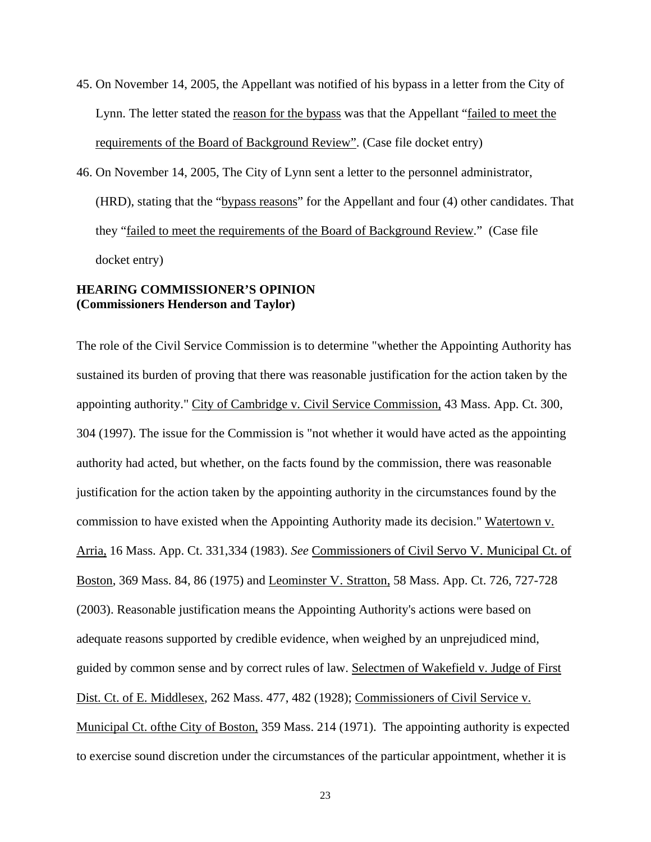- 45. On November 14, 2005, the Appellant was notified of his bypass in a letter from the City of Lynn. The letter stated the reason for the bypass was that the Appellant "failed to meet the requirements of the Board of Background Review". (Case file docket entry)
- 46. On November 14, 2005, The City of Lynn sent a letter to the personnel administrator, (HRD), stating that the "bypass reasons" for the Appellant and four (4) other candidates. That they "failed to meet the requirements of the Board of Background Review." (Case file docket entry)

# **HEARING COMMISSIONER'S OPINION (Commissioners Henderson and Taylor)**

The role of the Civil Service Commission is to determine "whether the Appointing Authority has sustained its burden of proving that there was reasonable justification for the action taken by the appointing authority." City of Cambridge v. Civil Service Commission, 43 Mass. App. Ct. 300, 304 (1997). The issue for the Commission is "not whether it would have acted as the appointing authority had acted, but whether, on the facts found by the commission, there was reasonable justification for the action taken by the appointing authority in the circumstances found by the commission to have existed when the Appointing Authority made its decision." Watertown v. Arria, 16 Mass. App. Ct. 331,334 (1983). *See* Commissioners of Civil Servo V. Municipal Ct. of Boston, 369 Mass. 84, 86 (1975) and Leominster V. Stratton, 58 Mass. App. Ct. 726, 727-728 (2003). Reasonable justification means the Appointing Authority's actions were based on adequate reasons supported by credible evidence, when weighed by an unprejudiced mind, guided by common sense and by correct rules of law. Selectmen of Wakefield v. Judge of First Dist. Ct. of E. Middlesex, 262 Mass. 477, 482 (1928); Commissioners of Civil Service v. Municipal Ct. ofthe City of Boston, 359 Mass. 214 (1971). The appointing authority is expected to exercise sound discretion under the circumstances of the particular appointment, whether it is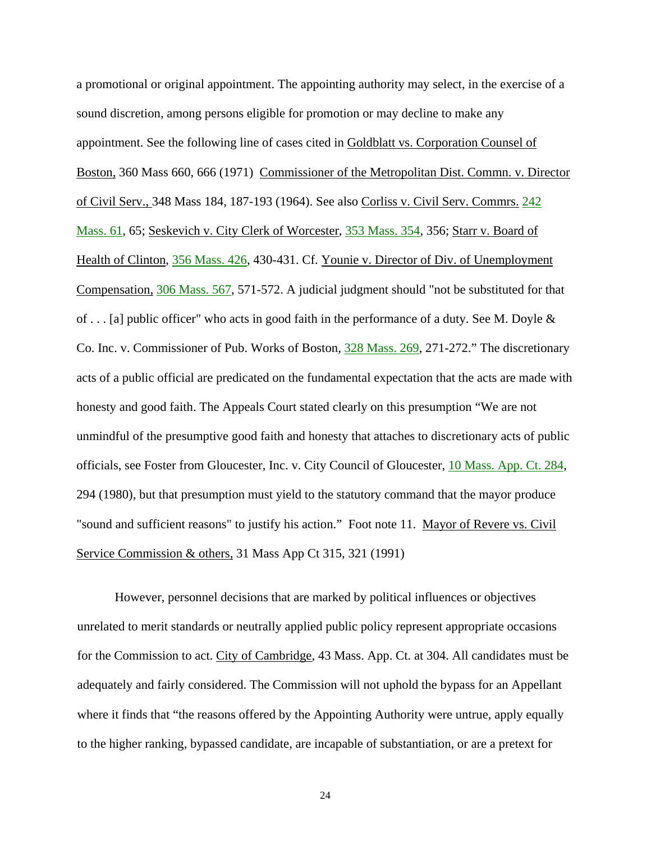a promotional or original appointment. The appointing authority may select, in the exercise of a sound discretion, among persons eligible for promotion or may decline to make any appointment. See the following line of cases cited in Goldblatt vs. Corporation Counsel of Boston, 360 Mass 660, 666 (1971) Commissioner of the Metropolitan Dist. Commn. v. Director of Civil Serv., 348 Mass 184, 187-193 (1964). See also Corliss v. Civil Serv. Commrs. [242](http://socialaw.gvpi.net/sll/lpext.dll/sll/sjcapp/sjcapp-1606793#sjcapp-242-32-mass-46--32-61)  [Mass. 61](http://socialaw.gvpi.net/sll/lpext.dll/sll/sjcapp/sjcapp-1606793#sjcapp-242-32-mass-46--32-61), 65; Seskevich v. City Clerk of Worcester, [353 Mass. 354](http://socialaw.gvpi.net/sll/lpext.dll/sll/sjcapp/sjcapp-0896575#sjcapp-353-32-mass-46--32-354), 356; Starr v. Board of Health of Clinton, [356 Mass. 426](http://socialaw.gvpi.net/sll/lpext.dll/sll/sjcapp/sjcapp-0866555#sjcapp-356-32-mass-46--32-426), 430-431. Cf. Younie v. Director of Div. of Unemployment Compensation, [306 Mass. 567,](http://socialaw.gvpi.net/sll/lpext.dll/sll/sjcapp/sjcapp-1312350#sjcapp-306-32-mass-46--32-567) 571-572. A judicial judgment should "not be substituted for that of . . . [a] public officer" who acts in good faith in the performance of a duty. See M. Doyle & Co. Inc. v. Commissioner of Pub. Works of Boston, [328 Mass. 269](http://socialaw.gvpi.net/sll/lpext.dll/sll/sjcapp/sjcapp-1135130#sjcapp-328-32-mass-46--32-269), 271-272." The discretionary acts of a public official are predicated on the fundamental expectation that the acts are made with honesty and good faith. The Appeals Court stated clearly on this presumption "We are not unmindful of the presumptive good faith and honesty that attaches to discretionary acts of public officials, see Foster from Gloucester, Inc. v. City Council of Gloucester, [10 Mass. App. Ct. 284](http://socialaw.gvpi.net/sll/lpext.dll/sll/sjcapp/sjcapp-2254638#sjcapp-10-32-mass-46--32-app-46--32-ct-46--32-284), 294 (1980), but that presumption must yield to the statutory command that the mayor produce "sound and sufficient reasons" to justify his action." Foot note 11. Mayor of Revere vs. Civil Service Commission & others, 31 Mass App Ct 315, 321 (1991)

However, personnel decisions that are marked by political influences or objectives unrelated to merit standards or neutrally applied public policy represent appropriate occasions for the Commission to act. City of Cambridge, 43 Mass. App. Ct. at 304. All candidates must be adequately and fairly considered. The Commission will not uphold the bypass for an Appellant where it finds that "the reasons offered by the Appointing Authority were untrue, apply equally to the higher ranking, bypassed candidate, are incapable of substantiation, or are a pretext for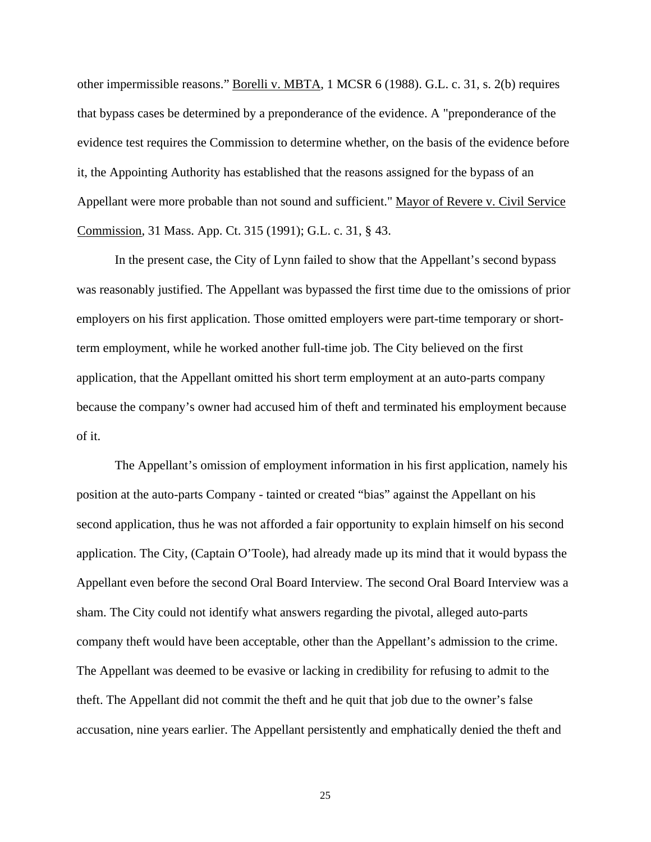other impermissible reasons." Borelli v. MBTA, 1 MCSR 6 (1988). G.L. c. 31, s. 2(b) requires that bypass cases be determined by a preponderance of the evidence. A "preponderance of the evidence test requires the Commission to determine whether, on the basis of the evidence before it, the Appointing Authority has established that the reasons assigned for the bypass of an Appellant were more probable than not sound and sufficient." Mayor of Revere v. Civil Service Commission, 31 Mass. App. Ct. 315 (1991); G.L. c. 31, § 43.

In the present case, the City of Lynn failed to show that the Appellant's second bypass was reasonably justified. The Appellant was bypassed the first time due to the omissions of prior employers on his first application. Those omitted employers were part-time temporary or shortterm employment, while he worked another full-time job. The City believed on the first application, that the Appellant omitted his short term employment at an auto-parts company because the company's owner had accused him of theft and terminated his employment because of it.

The Appellant's omission of employment information in his first application, namely his position at the auto-parts Company - tainted or created "bias" against the Appellant on his second application, thus he was not afforded a fair opportunity to explain himself on his second application. The City, (Captain O'Toole), had already made up its mind that it would bypass the Appellant even before the second Oral Board Interview. The second Oral Board Interview was a sham. The City could not identify what answers regarding the pivotal, alleged auto-parts company theft would have been acceptable, other than the Appellant's admission to the crime. The Appellant was deemed to be evasive or lacking in credibility for refusing to admit to the theft. The Appellant did not commit the theft and he quit that job due to the owner's false accusation, nine years earlier. The Appellant persistently and emphatically denied the theft and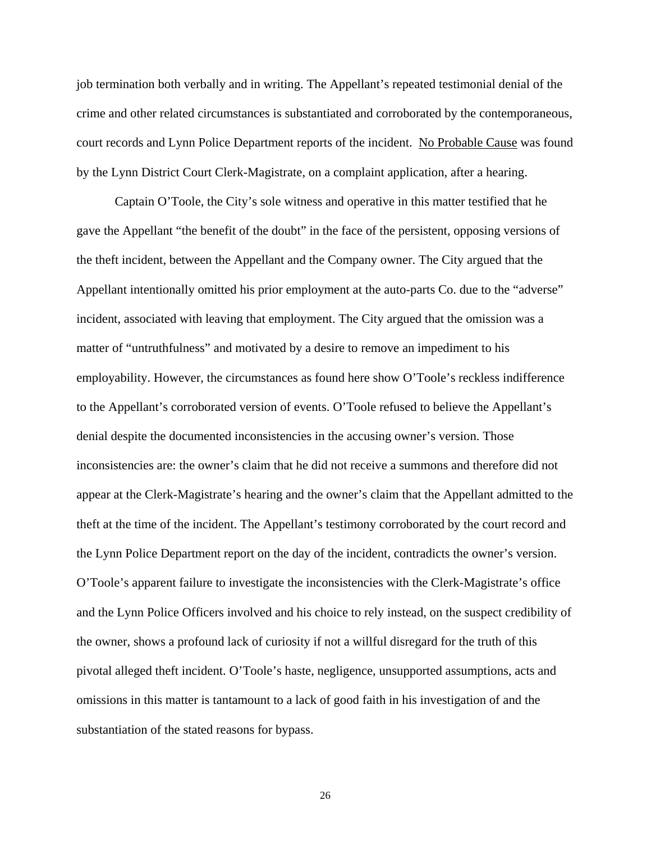job termination both verbally and in writing. The Appellant's repeated testimonial denial of the crime and other related circumstances is substantiated and corroborated by the contemporaneous, court records and Lynn Police Department reports of the incident. No Probable Cause was found by the Lynn District Court Clerk-Magistrate, on a complaint application, after a hearing.

Captain O'Toole, the City's sole witness and operative in this matter testified that he gave the Appellant "the benefit of the doubt" in the face of the persistent, opposing versions of the theft incident, between the Appellant and the Company owner. The City argued that the Appellant intentionally omitted his prior employment at the auto-parts Co. due to the "adverse" incident, associated with leaving that employment. The City argued that the omission was a matter of "untruthfulness" and motivated by a desire to remove an impediment to his employability. However, the circumstances as found here show O'Toole's reckless indifference to the Appellant's corroborated version of events. O'Toole refused to believe the Appellant's denial despite the documented inconsistencies in the accusing owner's version. Those inconsistencies are: the owner's claim that he did not receive a summons and therefore did not appear at the Clerk-Magistrate's hearing and the owner's claim that the Appellant admitted to the theft at the time of the incident. The Appellant's testimony corroborated by the court record and the Lynn Police Department report on the day of the incident, contradicts the owner's version. O'Toole's apparent failure to investigate the inconsistencies with the Clerk-Magistrate's office and the Lynn Police Officers involved and his choice to rely instead, on the suspect credibility of the owner, shows a profound lack of curiosity if not a willful disregard for the truth of this pivotal alleged theft incident. O'Toole's haste, negligence, unsupported assumptions, acts and omissions in this matter is tantamount to a lack of good faith in his investigation of and the substantiation of the stated reasons for bypass.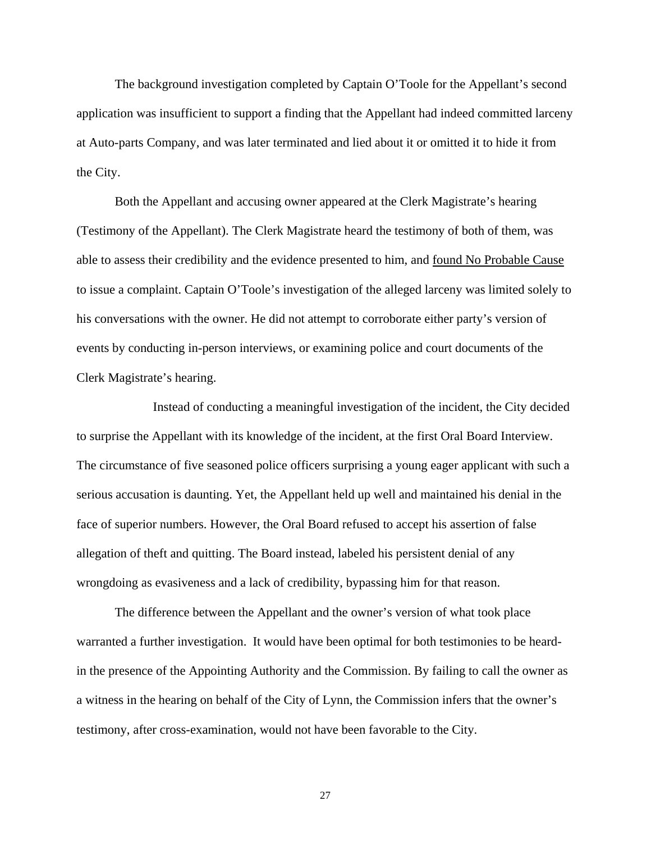The background investigation completed by Captain O'Toole for the Appellant's second application was insufficient to support a finding that the Appellant had indeed committed larceny at Auto-parts Company, and was later terminated and lied about it or omitted it to hide it from the City.

Both the Appellant and accusing owner appeared at the Clerk Magistrate's hearing (Testimony of the Appellant). The Clerk Magistrate heard the testimony of both of them, was able to assess their credibility and the evidence presented to him, and found No Probable Cause to issue a complaint. Captain O'Toole's investigation of the alleged larceny was limited solely to his conversations with the owner. He did not attempt to corroborate either party's version of events by conducting in-person interviews, or examining police and court documents of the Clerk Magistrate's hearing.

 Instead of conducting a meaningful investigation of the incident, the City decided to surprise the Appellant with its knowledge of the incident, at the first Oral Board Interview. The circumstance of five seasoned police officers surprising a young eager applicant with such a serious accusation is daunting. Yet, the Appellant held up well and maintained his denial in the face of superior numbers. However, the Oral Board refused to accept his assertion of false allegation of theft and quitting. The Board instead, labeled his persistent denial of any wrongdoing as evasiveness and a lack of credibility, bypassing him for that reason.

The difference between the Appellant and the owner's version of what took place warranted a further investigation. It would have been optimal for both testimonies to be heardin the presence of the Appointing Authority and the Commission. By failing to call the owner as a witness in the hearing on behalf of the City of Lynn, the Commission infers that the owner's testimony, after cross-examination, would not have been favorable to the City.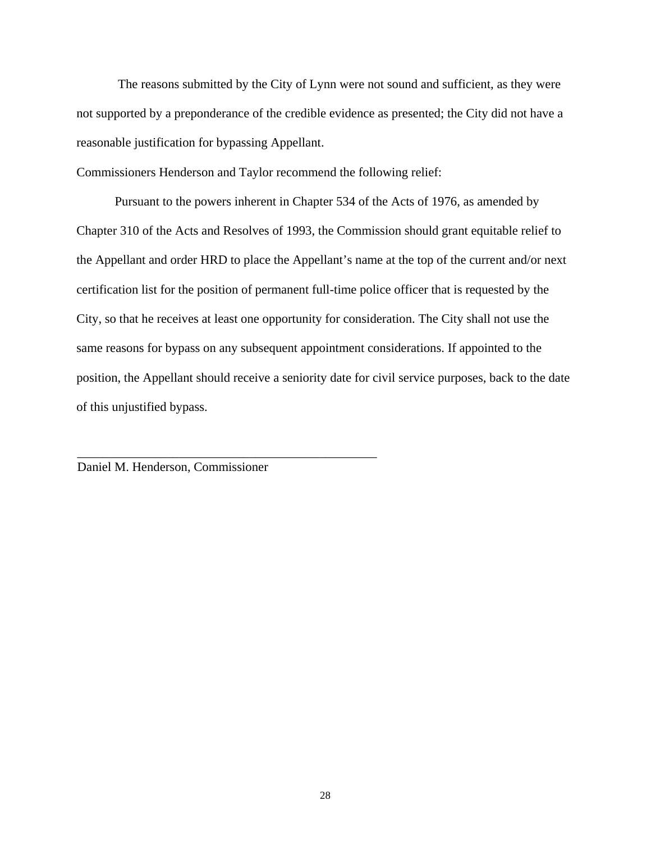The reasons submitted by the City of Lynn were not sound and sufficient, as they were not supported by a preponderance of the credible evidence as presented; the City did not have a reasonable justification for bypassing Appellant.

Commissioners Henderson and Taylor recommend the following relief:

Pursuant to the powers inherent in Chapter 534 of the Acts of 1976, as amended by Chapter 310 of the Acts and Resolves of 1993, the Commission should grant equitable relief to the Appellant and order HRD to place the Appellant's name at the top of the current and/or next certification list for the position of permanent full-time police officer that is requested by the City, so that he receives at least one opportunity for consideration. The City shall not use the same reasons for bypass on any subsequent appointment considerations. If appointed to the position, the Appellant should receive a seniority date for civil service purposes, back to the date of this unjustified bypass.

Daniel M. Henderson, Commissioner

\_\_\_\_\_\_\_\_\_\_\_\_\_\_\_\_\_\_\_\_\_\_\_\_\_\_\_\_\_\_\_\_\_\_\_\_\_\_\_\_\_\_\_\_\_\_\_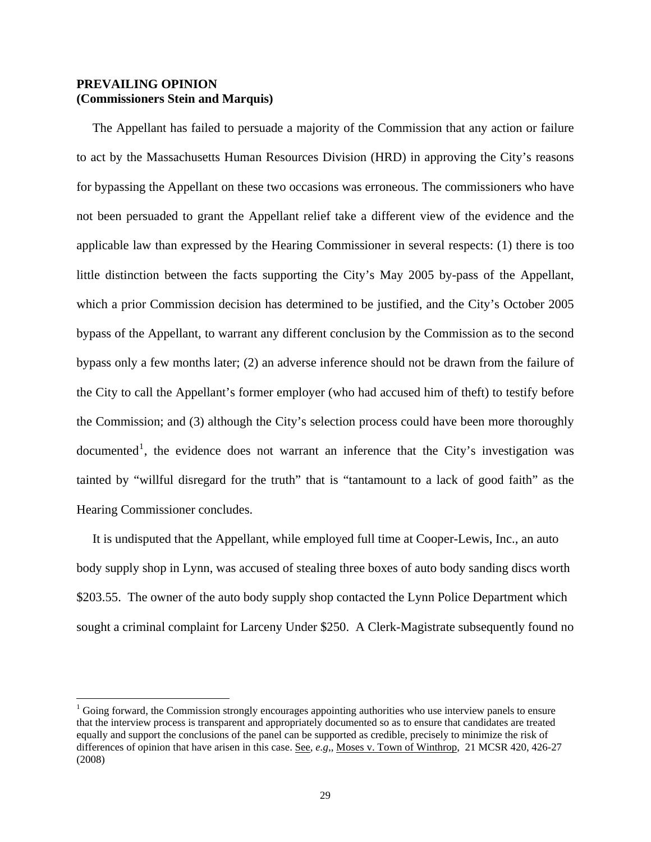# **PREVAILING OPINION (Commissioners Stein and Marquis)**

 $\overline{a}$ 

 The Appellant has failed to persuade a majority of the Commission that any action or failure to act by the Massachusetts Human Resources Division (HRD) in approving the City's reasons for bypassing the Appellant on these two occasions was erroneous. The commissioners who have not been persuaded to grant the Appellant relief take a different view of the evidence and the applicable law than expressed by the Hearing Commissioner in several respects: (1) there is too little distinction between the facts supporting the City's May 2005 by-pass of the Appellant, which a prior Commission decision has determined to be justified, and the City's October 2005 bypass of the Appellant, to warrant any different conclusion by the Commission as to the second bypass only a few months later; (2) an adverse inference should not be drawn from the failure of the City to call the Appellant's former employer (who had accused him of theft) to testify before the Commission; and (3) although the City's selection process could have been more thoroughly documented<sup>[1](#page-28-0)</sup>, the evidence does not warrant an inference that the City's investigation was tainted by "willful disregard for the truth" that is "tantamount to a lack of good faith" as the Hearing Commissioner concludes.

 It is undisputed that the Appellant, while employed full time at Cooper-Lewis, Inc., an auto body supply shop in Lynn, was accused of stealing three boxes of auto body sanding discs worth \$203.55. The owner of the auto body supply shop contacted the Lynn Police Department which sought a criminal complaint for Larceny Under \$250. A Clerk-Magistrate subsequently found no

<span id="page-28-0"></span><sup>&</sup>lt;sup>1</sup> Going forward, the Commission strongly encourages appointing authorities who use interview panels to ensure that the interview process is transparent and appropriately documented so as to ensure that candidates are treated equally and support the conclusions of the panel can be supported as credible, precisely to minimize the risk of differences of opinion that have arisen in this case. <u>See, *e.g.*, Moses v. Town of Winthrop</u>, 21 MCSR 420, 426-27 (2008)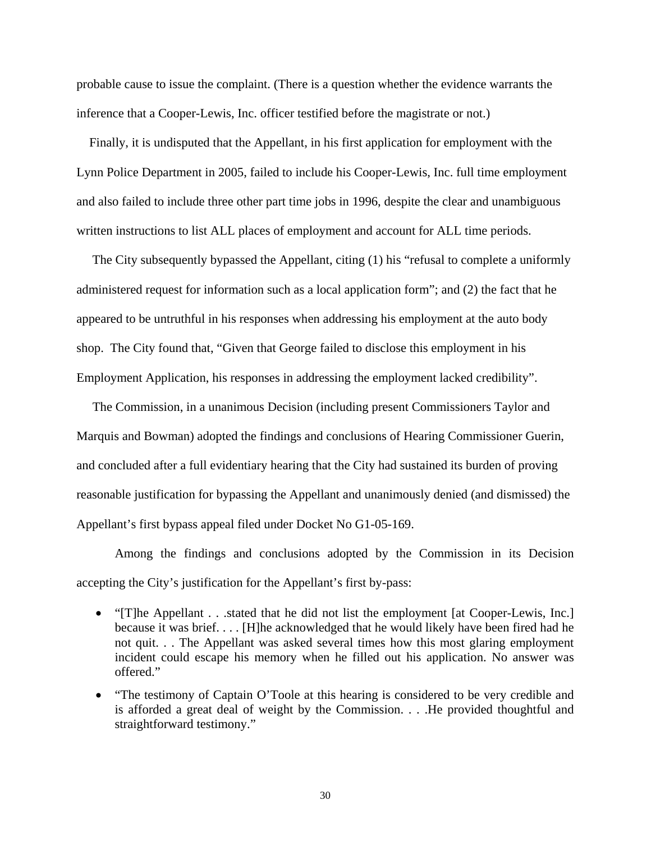probable cause to issue the complaint. (There is a question whether the evidence warrants the inference that a Cooper-Lewis, Inc. officer testified before the magistrate or not.)

 Finally, it is undisputed that the Appellant, in his first application for employment with the Lynn Police Department in 2005, failed to include his Cooper-Lewis, Inc. full time employment and also failed to include three other part time jobs in 1996, despite the clear and unambiguous written instructions to list ALL places of employment and account for ALL time periods.

 The City subsequently bypassed the Appellant, citing (1) his "refusal to complete a uniformly administered request for information such as a local application form"; and (2) the fact that he appeared to be untruthful in his responses when addressing his employment at the auto body shop. The City found that, "Given that George failed to disclose this employment in his Employment Application, his responses in addressing the employment lacked credibility".

 The Commission, in a unanimous Decision (including present Commissioners Taylor and Marquis and Bowman) adopted the findings and conclusions of Hearing Commissioner Guerin, and concluded after a full evidentiary hearing that the City had sustained its burden of proving reasonable justification for bypassing the Appellant and unanimously denied (and dismissed) the Appellant's first bypass appeal filed under Docket No G1-05-169.

 Among the findings and conclusions adopted by the Commission in its Decision accepting the City's justification for the Appellant's first by-pass:

- "[T]he Appellant . . .stated that he did not list the employment [at Cooper-Lewis, Inc.] because it was brief. . . . [H]he acknowledged that he would likely have been fired had he not quit. . . The Appellant was asked several times how this most glaring employment incident could escape his memory when he filled out his application. No answer was offered."
- "The testimony of Captain O'Toole at this hearing is considered to be very credible and is afforded a great deal of weight by the Commission. . . .He provided thoughtful and straightforward testimony."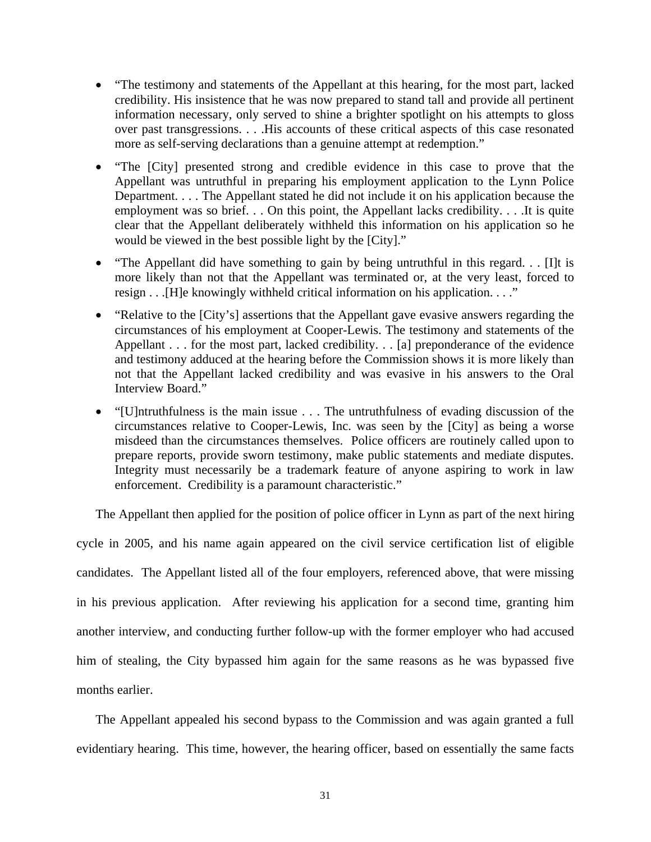- "The testimony and statements of the Appellant at this hearing, for the most part, lacked credibility. His insistence that he was now prepared to stand tall and provide all pertinent information necessary, only served to shine a brighter spotlight on his attempts to gloss over past transgressions. . . .His accounts of these critical aspects of this case resonated more as self-serving declarations than a genuine attempt at redemption."
- "The [City] presented strong and credible evidence in this case to prove that the Appellant was untruthful in preparing his employment application to the Lynn Police Department. . . . The Appellant stated he did not include it on his application because the employment was so brief. . . On this point, the Appellant lacks credibility. . . .It is quite clear that the Appellant deliberately withheld this information on his application so he would be viewed in the best possible light by the [City]."
- "The Appellant did have something to gain by being untruthful in this regard. . . [I]t is more likely than not that the Appellant was terminated or, at the very least, forced to resign . . .[H]e knowingly withheld critical information on his application. . . ."
- "Relative to the [City's] assertions that the Appellant gave evasive answers regarding the circumstances of his employment at Cooper-Lewis. The testimony and statements of the Appellant . . . for the most part, lacked credibility. . . [a] preponderance of the evidence and testimony adduced at the hearing before the Commission shows it is more likely than not that the Appellant lacked credibility and was evasive in his answers to the Oral Interview Board."
- "[U]ntruthfulness is the main issue . . . The untruthfulness of evading discussion of the circumstances relative to Cooper-Lewis, Inc. was seen by the [City] as being a worse misdeed than the circumstances themselves. Police officers are routinely called upon to prepare reports, provide sworn testimony, make public statements and mediate disputes. Integrity must necessarily be a trademark feature of anyone aspiring to work in law enforcement. Credibility is a paramount characteristic."

The Appellant then applied for the position of police officer in Lynn as part of the next hiring

cycle in 2005, and his name again appeared on the civil service certification list of eligible candidates. The Appellant listed all of the four employers, referenced above, that were missing in his previous application. After reviewing his application for a second time, granting him another interview, and conducting further follow-up with the former employer who had accused him of stealing, the City bypassed him again for the same reasons as he was bypassed five months earlier.

 The Appellant appealed his second bypass to the Commission and was again granted a full evidentiary hearing. This time, however, the hearing officer, based on essentially the same facts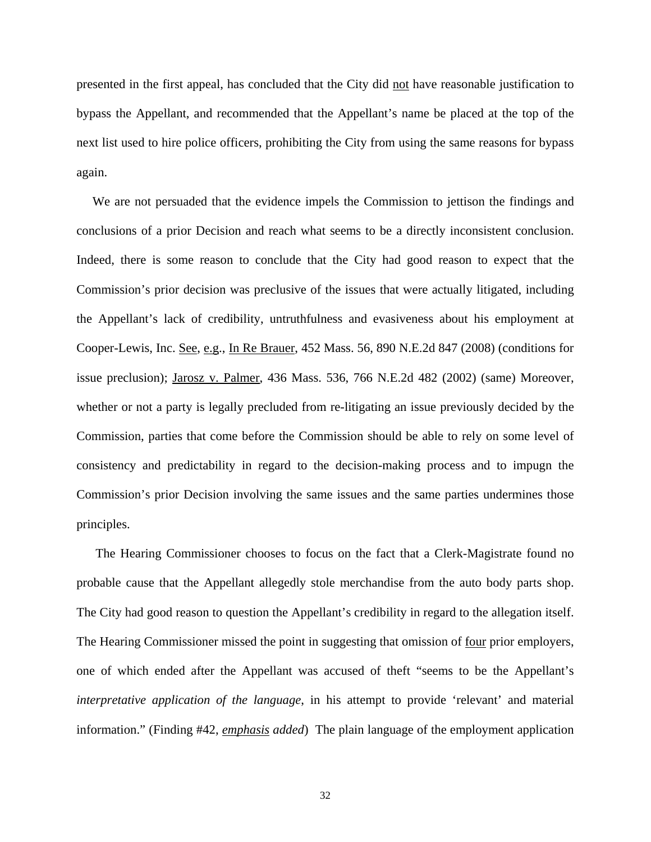presented in the first appeal, has concluded that the City did not have reasonable justification to bypass the Appellant, and recommended that the Appellant's name be placed at the top of the next list used to hire police officers, prohibiting the City from using the same reasons for bypass again.

 We are not persuaded that the evidence impels the Commission to jettison the findings and conclusions of a prior Decision and reach what seems to be a directly inconsistent conclusion. Indeed, there is some reason to conclude that the City had good reason to expect that the Commission's prior decision was preclusive of the issues that were actually litigated, including the Appellant's lack of credibility, untruthfulness and evasiveness about his employment at Cooper-Lewis, Inc. See, e.g., In Re Brauer, 452 Mass. 56, 890 N.E.2d 847 (2008) (conditions for issue preclusion); Jarosz v. Palmer, 436 Mass. 536, 766 N.E.2d 482 (2002) (same) Moreover, whether or not a party is legally precluded from re-litigating an issue previously decided by the Commission, parties that come before the Commission should be able to rely on some level of consistency and predictability in regard to the decision-making process and to impugn the Commission's prior Decision involving the same issues and the same parties undermines those principles.

The Hearing Commissioner chooses to focus on the fact that a Clerk-Magistrate found no probable cause that the Appellant allegedly stole merchandise from the auto body parts shop. The City had good reason to question the Appellant's credibility in regard to the allegation itself. The Hearing Commissioner missed the point in suggesting that omission of <u>four</u> prior employers, one of which ended after the Appellant was accused of theft "seems to be the Appellant's *interpretative application of the language*, in his attempt to provide 'relevant' and material information." (Finding #42, *emphasis added*) The plain language of the employment application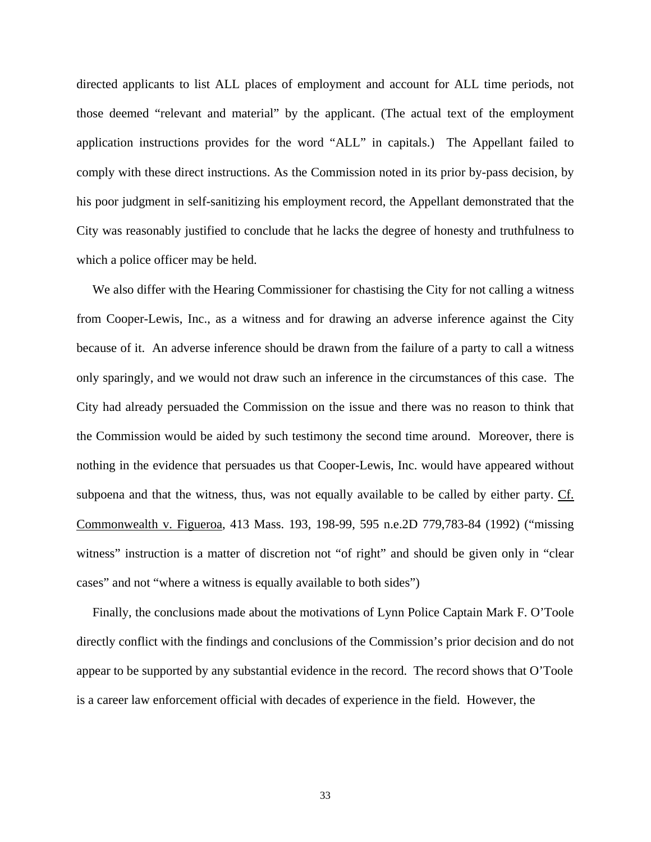directed applicants to list ALL places of employment and account for ALL time periods, not those deemed "relevant and material" by the applicant. (The actual text of the employment application instructions provides for the word "ALL" in capitals.) The Appellant failed to comply with these direct instructions. As the Commission noted in its prior by-pass decision, by his poor judgment in self-sanitizing his employment record, the Appellant demonstrated that the City was reasonably justified to conclude that he lacks the degree of honesty and truthfulness to which a police officer may be held.

 We also differ with the Hearing Commissioner for chastising the City for not calling a witness from Cooper-Lewis, Inc., as a witness and for drawing an adverse inference against the City because of it. An adverse inference should be drawn from the failure of a party to call a witness only sparingly, and we would not draw such an inference in the circumstances of this case. The City had already persuaded the Commission on the issue and there was no reason to think that the Commission would be aided by such testimony the second time around. Moreover, there is nothing in the evidence that persuades us that Cooper-Lewis, Inc. would have appeared without subpoena and that the witness, thus, was not equally available to be called by either party. Cf. Commonwealth v. Figueroa, 413 Mass. 193, 198-99, 595 n.e.2D 779,783-84 (1992) ("missing witness" instruction is a matter of discretion not "of right" and should be given only in "clear cases" and not "where a witness is equally available to both sides")

 Finally, the conclusions made about the motivations of Lynn Police Captain Mark F. O'Toole directly conflict with the findings and conclusions of the Commission's prior decision and do not appear to be supported by any substantial evidence in the record. The record shows that O'Toole is a career law enforcement official with decades of experience in the field. However, the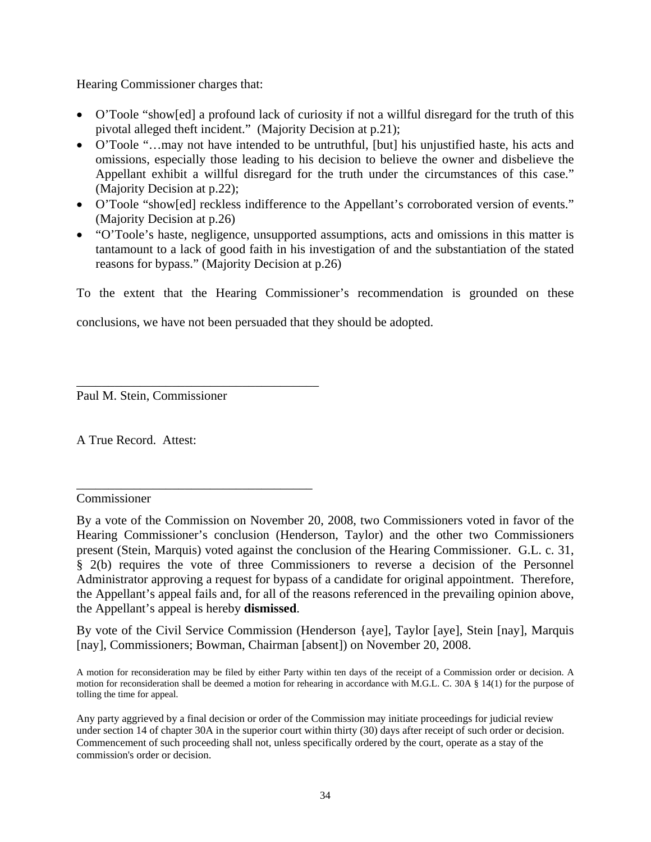Hearing Commissioner charges that:

- O'Toole "show[ed] a profound lack of curiosity if not a willful disregard for the truth of this pivotal alleged theft incident." (Majority Decision at p.21);
- O'Toole "…may not have intended to be untruthful, [but] his unjustified haste, his acts and omissions, especially those leading to his decision to believe the owner and disbelieve the Appellant exhibit a willful disregard for the truth under the circumstances of this case." (Majority Decision at p.22);
- O'Toole "show[ed] reckless indifference to the Appellant's corroborated version of events." (Majority Decision at p.26)
- "O'Toole's haste, negligence, unsupported assumptions, acts and omissions in this matter is tantamount to a lack of good faith in his investigation of and the substantiation of the stated reasons for bypass." (Majority Decision at p.26)

To the extent that the Hearing Commissioner's recommendation is grounded on these

conclusions, we have not been persuaded that they should be adopted.

Paul M. Stein, Commissioner

\_\_\_\_\_\_\_\_\_\_\_\_\_\_\_\_\_\_\_\_\_\_\_\_\_\_\_\_\_\_\_\_\_\_\_\_\_\_

\_\_\_\_\_\_\_\_\_\_\_\_\_\_\_\_\_\_\_\_\_\_\_\_\_\_\_\_\_\_\_\_\_\_\_\_\_

A True Record. Attest:

Commissioner

By vote of the Civil Service Commission (Henderson {aye], Taylor [aye], Stein [nay], Marquis [nay], Commissioners; Bowman, Chairman [absent]) on November 20, 2008.

By a vote of the Commission on November 20, 2008, two Commissioners voted in favor of the Hearing Commissioner's conclusion (Henderson, Taylor) and the other two Commissioners present (Stein, Marquis) voted against the conclusion of the Hearing Commissioner. G.L. c. 31, § 2(b) requires the vote of three Commissioners to reverse a decision of the Personnel Administrator approving a request for bypass of a candidate for original appointment. Therefore, the Appellant's appeal fails and, for all of the reasons referenced in the prevailing opinion above, the Appellant's appeal is hereby **dismissed**.

A motion for reconsideration may be filed by either Party within ten days of the receipt of a Commission order or decision. A motion for reconsideration shall be deemed a motion for rehearing in accordance with M.G.L. C. 30A § 14(1) for the purpose of tolling the time for appeal.

Any party aggrieved by a final decision or order of the Commission may initiate proceedings for judicial review under section 14 of chapter 30A in the superior court within thirty (30) days after receipt of such order or decision. Commencement of such proceeding shall not, unless specifically ordered by the court, operate as a stay of the commission's order or decision.